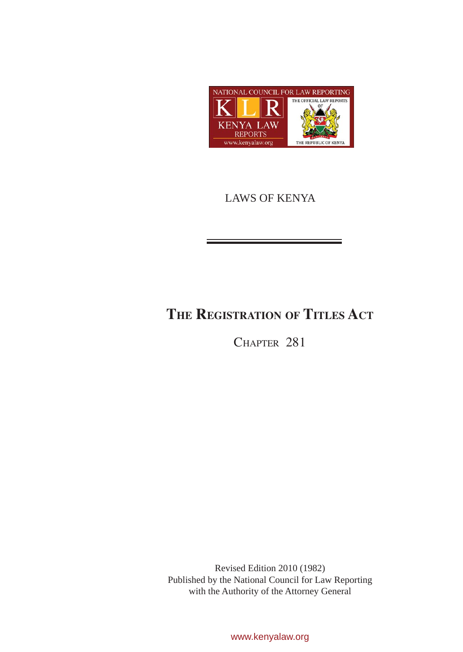

# LAWS OF KENYA

# **The Registration of Titles Act**

CHAPTER 281

Revised Edition 2010 (1982) Published by the National Council for Law Reporting with the Authority of the Attorney General

www.kenyalaw.org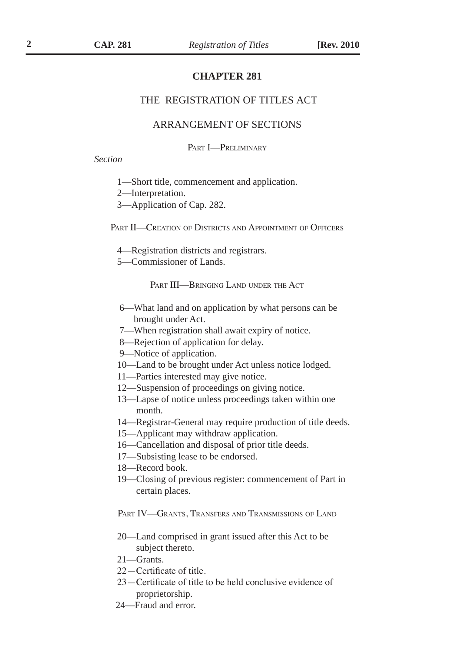### **CHAPTER 281**

### THE REGISTRATION OF TITLES ACT

### ARRANGEMENT OF SECTIONS

PART **I**-PRELIMINARY

*Section* 

- 1—Short title, commencement and application.
- 2—Interpretation.
- 3—Application of Cap. 282.

PART II—CREATION OF DISTRICTS AND APPOINTMENT OF OFFICERS

- 4—Registration districts and registrars.
- 5—Commissioner of Lands.

PART III—BRINGING LAND UNDER THE ACT

- 6—What land and on application by what persons can be brought under Act.
- 7—When registration shall await expiry of notice.
- 8—Rejection of application for delay.
- 9—Notice of application.
- 10—Land to be brought under Act unless notice lodged.
- 11—Parties interested may give notice.
- 12—Suspension of proceedings on giving notice.
- 13—Lapse of notice unless proceedings taken within one month.
- 14—Registrar-General may require production of title deeds.
- 15—Applicant may withdraw application.
- 16—Cancellation and disposal of prior title deeds.
- 17—Subsisting lease to be endorsed.
- 18—Record book.
- 19—Closing of previous register: commencement of Part in certain places.

PART IV—GRANTS, TRANSFERS AND TRANSMISSIONS OF LAND

- 20—Land comprised in grant issued after this Act to be subject thereto.
- 21—Grants.
- 22—Certificate of title.
- 23—Certificate of title to be held conclusive evidence of proprietorship.
- 24—Fraud and error.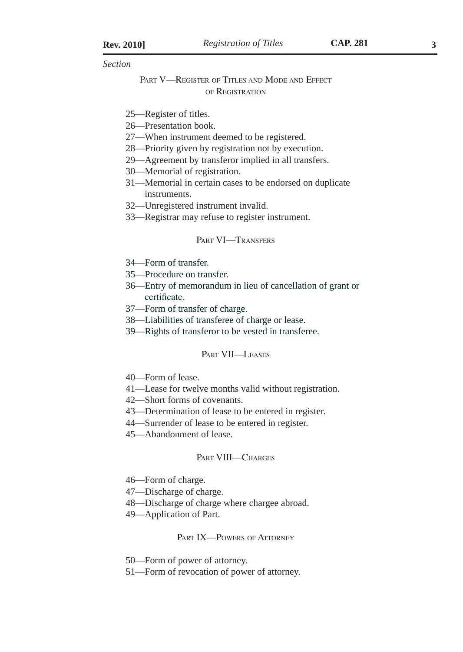*Section* 

### PART V—REGISTER OF TITLES AND MODE AND EFFECT of Registration

- 25—Register of titles.
- 26—Presentation book.
- 27—When instrument deemed to be registered.
- 28—Priority given by registration not by execution.
- 29—Agreement by transferor implied in all transfers.
- 30—Memorial of registration.
- 31—Memorial in certain cases to be endorsed on duplicate instruments.
- 32—Unregistered instrument invalid.
- 33—Registrar may refuse to register instrument.

### PART VI-TRANSFERS

- 34—Form of transfer.
- 35—Procedure on transfer.
- 36—Entry of memorandum in lieu of cancellation of grant or certificate.
- 37—Form of transfer of charge.
- 38—Liabilities of transferee of charge or lease.
- 39—Rights of transferor to be vested in transferee.

#### Part VII—Leases

- 40—Form of lease.
- 41—Lease for twelve months valid without registration.
- 42—Short forms of covenants.
- 43—Determination of lease to be entered in register.
- 44—Surrender of lease to be entered in register.
- 45—Abandonment of lease.

### PART VIII—CHARGES

- 46—Form of charge.
- 47—Discharge of charge.
- 48—Discharge of charge where chargee abroad.
- 49—Application of Part.

### PART IX—POWERS OF ATTORNEY

- 50—Form of power of attorney.
- 51—Form of revocation of power of attorney.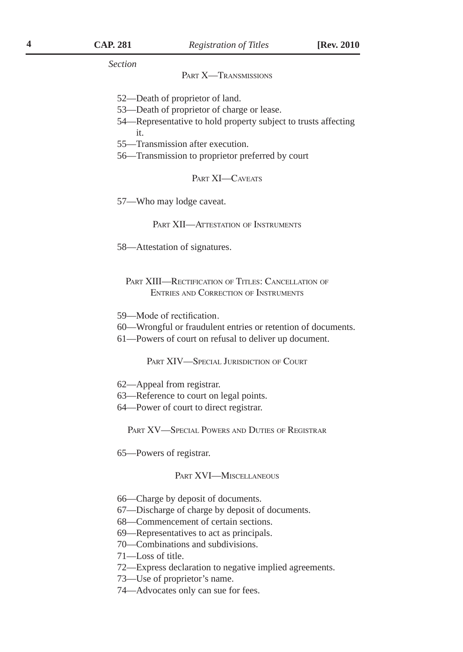*Section* 

#### PART **X**-TRANSMISSIONS

- 52—Death of proprietor of land.
- 53—Death of proprietor of charge or lease.
- 54—Representative to hold property subject to trusts affecting it.
- 55—Transmission after execution.
- 56—Transmission to proprietor preferred by court

#### PART **XI**-CAVEATS

57—Who may lodge caveat.

PART XII—ATTESTATION OF INSTRUMENTS

58—Attestation of signatures.

PART XIII—RECTIFICATION OF TITLES: CANCELLATION OF Entries and Correction of Instruments

- 59—Mode of rectification.
- 60—Wrongful or fraudulent entries or retention of documents.
- 61—Powers of court on refusal to deliver up document.

PART XIV—SPECIAL JURISDICTION OF COURT

- 62—Appeal from registrar.
- 63—Reference to court on legal points.
- 64—Power of court to direct registrar.

PART XV—SPECIAL POWERS AND DUTIES OF REGISTRAR

65—Powers of registrar.

#### Part XVI—Miscellaneous

- 66—Charge by deposit of documents.
- 67—Discharge of charge by deposit of documents.
- 68—Commencement of certain sections.
- 69—Representatives to act as principals.
- 70—Combinations and subdivisions.
- 71—Loss of title.
- 72—Express declaration to negative implied agreements.
- 73—Use of proprietor's name.
- 74—Advocates only can sue for fees.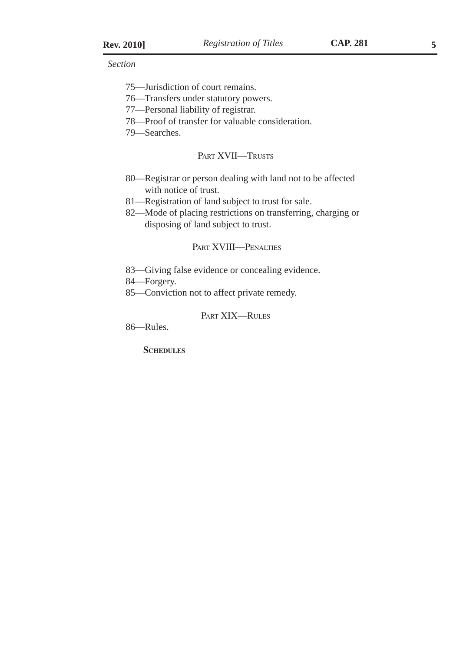*Section* 

- 75—Jurisdiction of court remains.
- 76—Transfers under statutory powers.
- 77—Personal liability of registrar.
- 78—Proof of transfer for valuable consideration.

79—Searches.

#### PART XVII—TRUSTS

- 80—Registrar or person dealing with land not to be affected with notice of trust.
- 81—Registration of land subject to trust for sale.
- 82—Mode of placing restrictions on transferring, charging or disposing of land subject to trust.

### Part XVIII—Penalties

83—Giving false evidence or concealing evidence.

84—Forgery.

85—Conviction not to affect private remedy.

### Part XIX—Rules

86—Rules.

**SCHEDULES**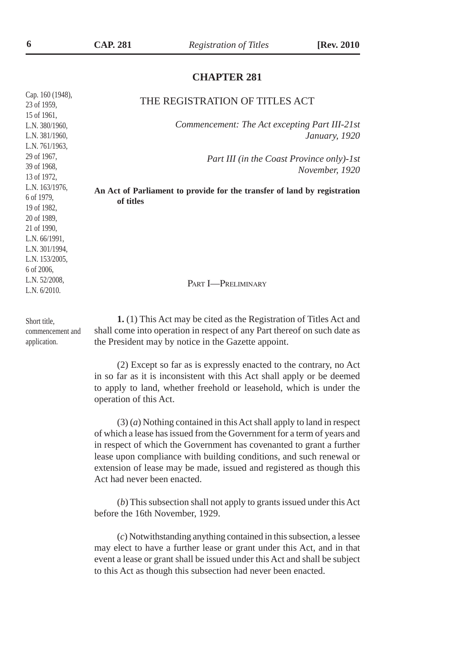### **CHAPTER 281**

| THE REGISTRATION OF TITLES ACT                                           |
|--------------------------------------------------------------------------|
|                                                                          |
| Commencement: The Act excepting Part III-21st                            |
| <i>January, 1920</i>                                                     |
|                                                                          |
| Part III (in the Coast Province only)-1st                                |
| November, 1920                                                           |
|                                                                          |
| An Act of Parliament to provide for the transfer of land by registration |
| of titles                                                                |
|                                                                          |
|                                                                          |
|                                                                          |
|                                                                          |
|                                                                          |
|                                                                          |
|                                                                          |
| PART <b>I</b> -PRELIMINARY                                               |
|                                                                          |
|                                                                          |
| 1. (1) This Act may be cited as the Registration of Titles Act and       |
| shall come into operation in respect of any Part thereof on such date as |
| the President may by notice in the Gazette appoint.                      |
|                                                                          |

(2) Except so far as is expressly enacted to the contrary, no Act in so far as it is inconsistent with this Act shall apply or be deemed to apply to land, whether freehold or leasehold, which is under the operation of this Act.

(3) (*a*) Nothing contained in this Act shall apply to land in respect of which a lease has issued from the Government for a term of years and in respect of which the Government has covenanted to grant a further lease upon compliance with building conditions, and such renewal or extension of lease may be made, issued and registered as though this Act had never been enacted.

(*b*) This subsection shall not apply to grants issued under this Act before the 16th November, 1929.

(*c*) Notwithstanding anything contained in this subsection, a lessee may elect to have a further lease or grant under this Act, and in that event a lease or grant shall be issued under this Act and shall be subject to this Act as though this subsection had never been enacted.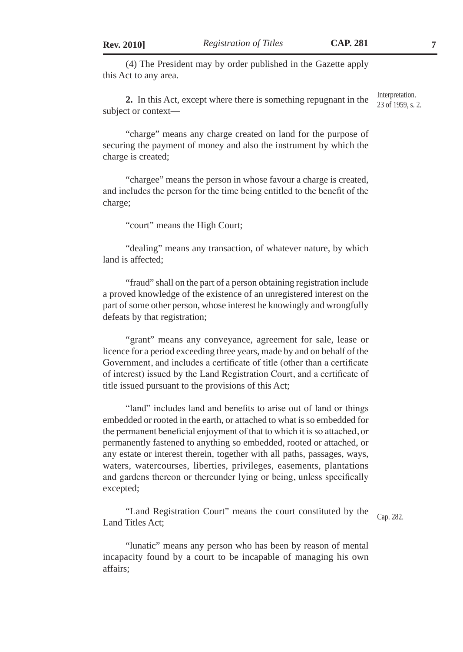(4) The President may by order published in the Gazette apply this Act to any area.

**2.** In this Act, except where there is something repugnant in the subject or context— Interpretation. 23 of 1959, s. 2.

"charge" means any charge created on land for the purpose of securing the payment of money and also the instrument by which the charge is created;

"chargee" means the person in whose favour a charge is created, and includes the person for the time being entitled to the benefit of the charge;

"court" means the High Court;

"dealing" means any transaction, of whatever nature, by which land is affected;

"fraud" shall on the part of a person obtaining registration include a proved knowledge of the existence of an unregistered interest on the part of some other person, whose interest he knowingly and wrongfully defeats by that registration;

"grant" means any conveyance, agreement for sale, lease or licence for a period exceeding three years, made by and on behalf of the Government, and includes a certificate of title (other than a certificate of interest) issued by the Land Registration Court, and a certificate of title issued pursuant to the provisions of this Act;

"land" includes land and benefits to arise out of land or things embedded or rooted in the earth, or attached to what is so embedded for the permanent beneficial enjoyment of that to which it is so attached, or permanently fastened to anything so embedded, rooted or attached, or any estate or interest therein, together with all paths, passages, ways, waters, watercourses, liberties, privileges, easements, plantations and gardens thereon or thereunder lying or being, unless specifically excepted;

"Land Registration Court" means the court constituted by the Land Titles Act;

Cap. 282.

"lunatic" means any person who has been by reason of mental incapacity found by a court to be incapable of managing his own affairs;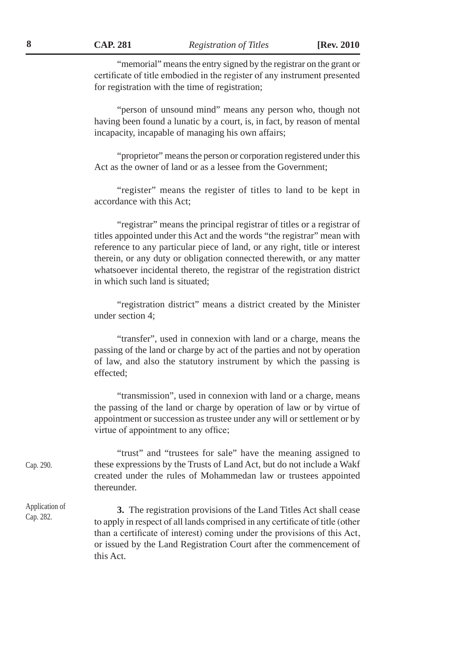**8 CAP. 281** *Registration of Titles* **[Rev. 2010**

"memorial" means the entry signed by the registrar on the grant or certificate of title embodied in the register of any instrument presented for registration with the time of registration;

"person of unsound mind" means any person who, though not having been found a lunatic by a court, is, in fact, by reason of mental incapacity, incapable of managing his own affairs;

"proprietor" means the person or corporation registered under this Act as the owner of land or as a lessee from the Government;

"register" means the register of titles to land to be kept in accordance with this Act;

"registrar" means the principal registrar of titles or a registrar of titles appointed under this Act and the words "the registrar" mean with reference to any particular piece of land, or any right, title or interest therein, or any duty or obligation connected therewith, or any matter whatsoever incidental thereto, the registrar of the registration district in which such land is situated;

"registration district" means a district created by the Minister under section 4;

"transfer", used in connexion with land or a charge, means the passing of the land or charge by act of the parties and not by operation of law, and also the statutory instrument by which the passing is effected;

"transmission", used in connexion with land or a charge, means the passing of the land or charge by operation of law or by virtue of appointment or succession as trustee under any will or settlement or by virtue of appointment to any office;

"trust" and "trustees for sale" have the meaning assigned to these expressions by the Trusts of Land Act, but do not include a Wakf created under the rules of Mohammedan law or trustees appointed thereunder. Cap. 290.

> **3.** The registration provisions of the Land Titles Act shall cease to apply in respect of all lands comprised in any certificate of title (other than a certificate of interest) coming under the provisions of this Act, or issued by the Land Registration Court after the commencement of this Act.

Application of Cap. 282.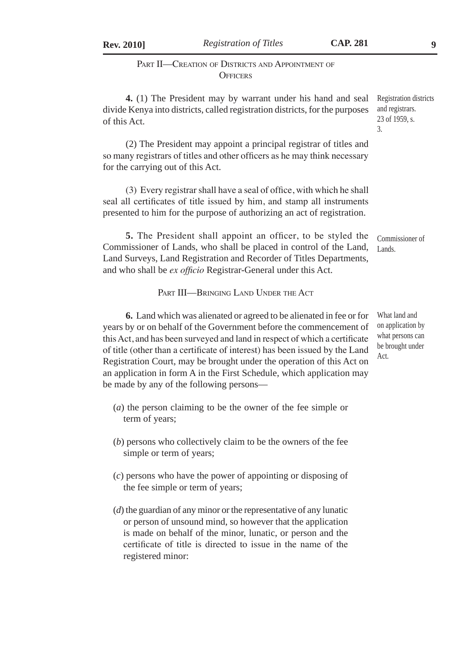**Rev. 2010]** *Registration of Titles* **CAP. 281 9**

### PART II—CREATION OF DISTRICTS AND APPOINTMENT OF **OFFICERS**

**4.** (1) The President may by warrant under his hand and seal divide Kenya into districts, called registration districts, for the purposes of this Act. Registration districts and registrars. 23 of 1959, s. 3.

(2) The President may appoint a principal registrar of titles and so many registrars of titles and other officers as he may think necessary for the carrying out of this Act.

(3) Every registrar shall have a seal of office, with which he shall seal all certificates of title issued by him, and stamp all instruments presented to him for the purpose of authorizing an act of registration.

**5.** The President shall appoint an officer, to be styled the Commissioner of Lands, who shall be placed in control of the Land, Land Surveys, Land Registration and Recorder of Titles Departments, and who shall be *ex officio* Registrar-General under this Act. Commissioner of Lands.

PART III—BRINGING LAND UNDER THE ACT

**6.** Land which was alienated or agreed to be alienated in fee or for years by or on behalf of the Government before the commencement of this Act, and has been surveyed and land in respect of which a certificate of title (other than a certificate of interest) has been issued by the Land Registration Court, may be brought under the operation of this Act on an application in form A in the First Schedule, which application may be made by any of the following persons—

- (*a*) the person claiming to be the owner of the fee simple or term of years;
- (*b*) persons who collectively claim to be the owners of the fee simple or term of years;
- (*c*) persons who have the power of appointing or disposing of the fee simple or term of years;
- (*d*) the guardian of any minor or the representative of any lunatic or person of unsound mind, so however that the application is made on behalf of the minor, lunatic, or person and the certificate of title is directed to issue in the name of the registered minor:

What land and on application by what persons can be brought under Act.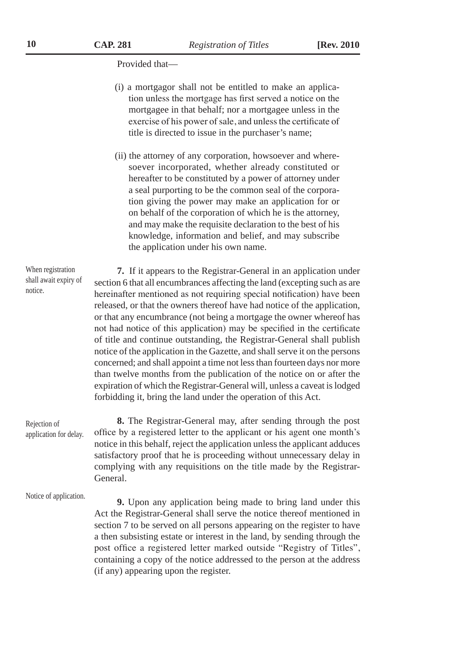Provided that—

- (i) a mortgagor shall not be entitled to make an application unless the mortgage has first served a notice on the mortgagee in that behalf; nor a mortgagee unless in the exercise of his power of sale, and unless the certificate of title is directed to issue in the purchaser's name;
- (ii) the attorney of any corporation, howsoever and wheresoever incorporated, whether already constituted or hereafter to be constituted by a power of attorney under a seal purporting to be the common seal of the corporation giving the power may make an application for or on behalf of the corporation of which he is the attorney, and may make the requisite declaration to the best of his knowledge, information and belief, and may subscribe the application under his own name.

**7.** If it appears to the Registrar-General in an application under section 6 that all encumbrances affecting the land (excepting such as are hereinafter mentioned as not requiring special notification) have been released, or that the owners thereof have had notice of the application, or that any encumbrance (not being a mortgage the owner whereof has not had notice of this application) may be specified in the certificate of title and continue outstanding, the Registrar-General shall publish notice of the application in the Gazette, and shall serve it on the persons concerned; and shall appoint a time not less than fourteen days nor more than twelve months from the publication of the notice on or after the expiration of which the Registrar-General will, unless a caveat is lodged forbidding it, bring the land under the operation of this Act.

**8.** The Registrar-General may, after sending through the post office by a registered letter to the applicant or his agent one month's notice in this behalf, reject the application unless the applicant adduces satisfactory proof that he is proceeding without unnecessary delay in complying with any requisitions on the title made by the Registrar-General.

Notice of application.

Rejection of application for delay.

> **9.** Upon any application being made to bring land under this Act the Registrar-General shall serve the notice thereof mentioned in section 7 to be served on all persons appearing on the register to have a then subsisting estate or interest in the land, by sending through the post office a registered letter marked outside "Registry of Titles", containing a copy of the notice addressed to the person at the address (if any) appearing upon the register.

When registration shall await expiry of notice.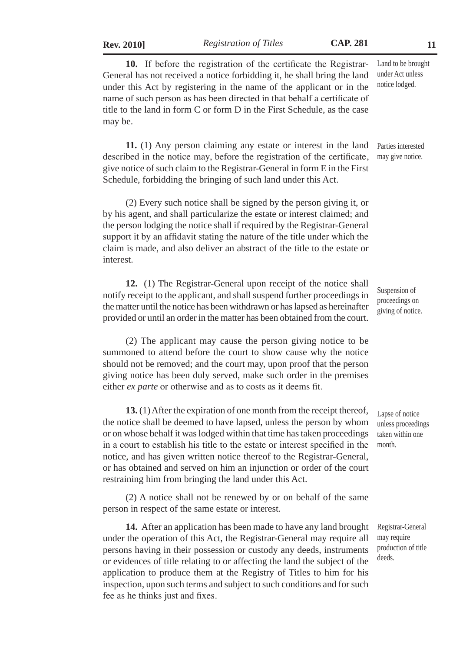**Rev. 2010]** *Registration of Titles* **CAP. 281 11**

under this Act by registering in the name of the applicant or in the name of such person as has been directed in that behalf a certificate of title to the land in form C or form D in the First Schedule, as the case may be. under Act unless notice lodged.

**11.** (1) Any person claiming any estate or interest in the land described in the notice may, before the registration of the certificate, give notice of such claim to the Registrar-General in form E in the First Schedule, forbidding the bringing of such land under this Act. Parties interested may give notice.

(2) Every such notice shall be signed by the person giving it, or by his agent, and shall particularize the estate or interest claimed; and the person lodging the notice shall if required by the Registrar-General support it by an affidavit stating the nature of the title under which the claim is made, and also deliver an abstract of the title to the estate or interest.

**12.** (1) The Registrar-General upon receipt of the notice shall notify receipt to the applicant, and shall suspend further proceedings in the matter until the notice has been withdrawn or has lapsed as hereinafter provided or until an order in the matter has been obtained from the court.

(2) The applicant may cause the person giving notice to be summoned to attend before the court to show cause why the notice should not be removed; and the court may, upon proof that the person giving notice has been duly served, make such order in the premises either *ex parte* or otherwise and as to costs as it deems fit.

**13.** (1) After the expiration of one month from the receipt thereof, the notice shall be deemed to have lapsed, unless the person by whom or on whose behalf it was lodged within that time has taken proceedings in a court to establish his title to the estate or interest specified in the notice, and has given written notice thereof to the Registrar-General, or has obtained and served on him an injunction or order of the court restraining him from bringing the land under this Act.

(2) A notice shall not be renewed by or on behalf of the same person in respect of the same estate or interest.

**14.** After an application has been made to have any land brought under the operation of this Act, the Registrar-General may require all persons having in their possession or custody any deeds, instruments or evidences of title relating to or affecting the land the subject of the application to produce them at the Registry of Titles to him for his inspection, upon such terms and subject to such conditions and for such fee as he thinks just and fixes.

Suspension of proceedings on giving of notice.

unless proceedings taken within one month.

Lapse of notice

Land to be brought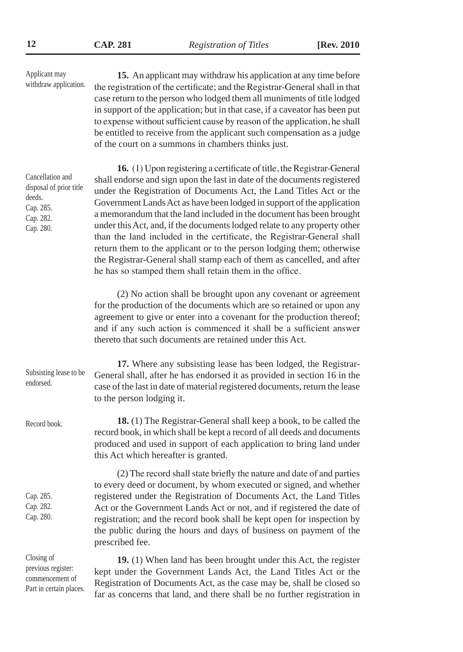**15.** An applicant may withdraw his application at any time before the registration of the certificate; and the Registrar-General shall in that case return to the person who lodged them all muniments of title lodged in support of the application; but in that case, if a caveator has been put to expense without sufficient cause by reason of the application, he shall be entitled to receive from the applicant such compensation as a judge of the court on a summons in chambers thinks just. **16.** (1) Upon registering a certificate of title, the Registrar-General shall endorse and sign upon the last in date of the documents registered under the Registration of Documents Act, the Land Titles Act or the Government Lands Act as have been lodged in support of the application a memorandum that the land included in the document has been brought under this Act, and, if the documents lodged relate to any property other than the land included in the certificate, the Registrar-General shall return them to the applicant or to the person lodging them; otherwise the Registrar-General shall stamp each of them as cancelled, and after he has so stamped them shall retain them in the office. (2) No action shall be brought upon any covenant or agreement for the production of the documents which are so retained or upon any agreement to give or enter into a covenant for the production thereof; and if any such action is commenced it shall be a sufficient answer thereto that such documents are retained under this Act. **17.** Where any subsisting lease has been lodged, the Registrar-General shall, after he has endorsed it as provided in section 16 in the case of the last in date of material registered documents, return the lease to the person lodging it. **18.** (1) The Registrar-General shall keep a book, to be called the record book, in which shall be kept a record of all deeds and documents produced and used in support of each application to bring land under this Act which hereafter is granted. (2) The record shall state briefly the nature and date of and parties to every deed or document, by whom executed or signed, and whether registered under the Registration of Documents Act, the Land Titles Act or the Government Lands Act or not, and if registered the date of registration; and the record book shall be kept open for inspection by the public during the hours and days of business on payment of the prescribed fee. **19.** (1) When land has been brought under this Act, the register kept under the Government Lands Act, the Land Titles Act or the Registration of Documents Act, as the case may be, shall be closed so Applicant may withdraw application. Cancellation and disposal of prior title deeds. Cap. 285. Cap. 282. Cap. 280. Subsisting lease to be endorsed. Record book. Cap. 285. Cap. 282. Cap. 280. Closing of previous register: commencement of Part in certain places.

far as concerns that land, and there shall be no further registration in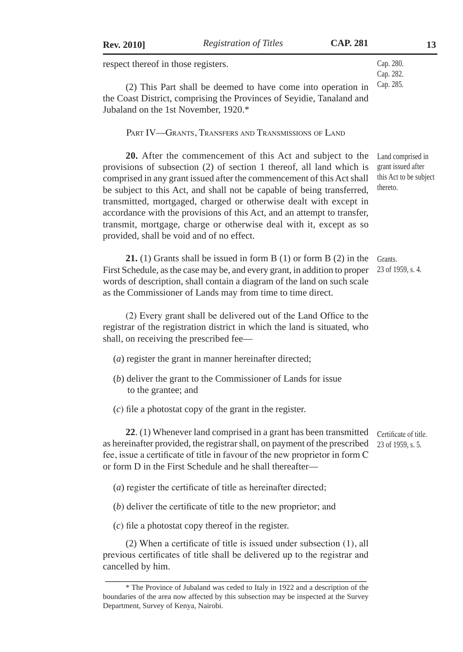| <b>Rev. 2010</b> |  |  |
|------------------|--|--|
|------------------|--|--|

Cap. 280. Cap. 282. Cap. 285.

respect thereof in those registers.

(2) This Part shall be deemed to have come into operation in the Coast District, comprising the Provinces of Seyidie, Tanaland and Jubaland on the 1st November, 1920.\*

Part IV—Grants, Transfers and Transmissions of Land

**20.** After the commencement of this Act and subject to the provisions of subsection (2) of section 1 thereof, all land which is comprised in any grant issued after the commencement of this Act shall be subject to this Act, and shall not be capable of being transferred, transmitted, mortgaged, charged or otherwise dealt with except in accordance with the provisions of this Act, and an attempt to transfer, transmit, mortgage, charge or otherwise deal with it, except as so provided, shall be void and of no effect. Land comprised in grant issued after this Act to be subject thereto.

> Grants. 23 of 1959, s. 4.

**21.** (1) Grants shall be issued in form B (1) or form B (2) in the First Schedule, as the case may be, and every grant, in addition to proper words of description, shall contain a diagram of the land on such scale as the Commissioner of Lands may from time to time direct.

(2) Every grant shall be delivered out of the Land Office to the registrar of the registration district in which the land is situated, who shall, on receiving the prescribed fee—

- (*a*) register the grant in manner hereinafter directed;
- (*b*) deliver the grant to the Commissioner of Lands for issue to the grantee; and
- (*c*) file a photostat copy of the grant in the register.

**22.** (1) Whenever land comprised in a grant has been transmitted certificate of title. as hereinafter provided, the registrar shall, on payment of the prescribed fee, issue a certificate of title in favour of the new proprietor in form C or form D in the First Schedule and he shall thereafter— 23 of 1959, s. 5.

- (*a*) register the certificate of title as hereinafter directed;
- (*b*) deliver the certificate of title to the new proprietor; and
- (*c*) file a photostat copy thereof in the register.

(2) When a certificate of title is issued under subsection (1), all previous certificates of title shall be delivered up to the registrar and cancelled by him.

**\_\_\_\_\_\_\_\_\_\_\_\_\_\_\_\_\_\_\_\_\_\_\_\_\_\_\_\_\_\_\_\_\_\_\_\_\_\_\_\_\_\_\_\_\_\_\_\_\_\_\_\_\_\_\_\_\_\_\_\_\_** \* The Province of Jubaland was ceded to Italy in 1922 and a description of the boundaries of the area now affected by this subsection may be inspected at the Survey Department, Survey of Kenya, Nairobi.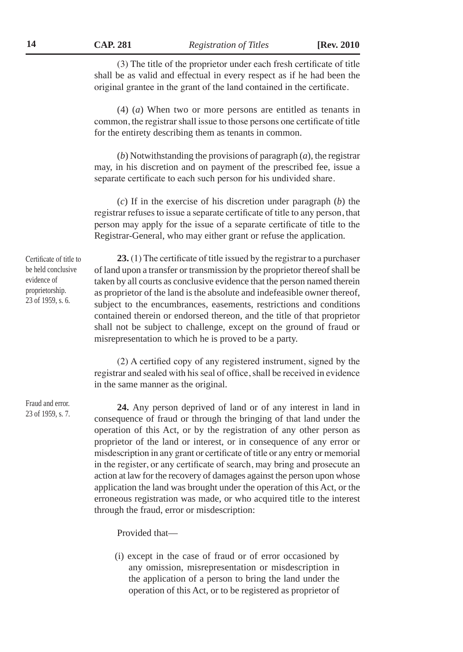**14 CAP. 281** *Registration of Titles* **[Rev. 2010**

(3) The title of the proprietor under each fresh certificate of title shall be as valid and effectual in every respect as if he had been the original grantee in the grant of the land contained in the certificate.

(4) (*a*) When two or more persons are entitled as tenants in common, the registrar shall issue to those persons one certificate of title for the entirety describing them as tenants in common.

(*b*) Notwithstanding the provisions of paragraph (*a*), the registrar may, in his discretion and on payment of the prescribed fee, issue a separate certificate to each such person for his undivided share.

(*c*) If in the exercise of his discretion under paragraph (*b*) the registrar refuses to issue a separate certificate of title to any person, that person may apply for the issue of a separate certificate of title to the Registrar-General, who may either grant or refuse the application.

Certificate of title to be held conclusive evidence of proprietorship. 23 of 1959, s. 6.

**23.** (1) The certificate of title issued by the registrar to a purchaser of land upon a transfer or transmission by the proprietor thereof shall be taken by all courts as conclusive evidence that the person named therein as proprietor of the land is the absolute and indefeasible owner thereof, subject to the encumbrances, easements, restrictions and conditions contained therein or endorsed thereon, and the title of that proprietor shall not be subject to challenge, except on the ground of fraud or misrepresentation to which he is proved to be a party.

(2) A certified copy of any registered instrument, signed by the registrar and sealed with his seal of office, shall be received in evidence in the same manner as the original.

**24.** Any person deprived of land or of any interest in land in consequence of fraud or through the bringing of that land under the operation of this Act, or by the registration of any other person as proprietor of the land or interest, or in consequence of any error or misdescription in any grant or certificate of title or any entry or memorial in the register, or any certificate of search, may bring and prosecute an action at law for the recovery of damages against the person upon whose application the land was brought under the operation of this Act, or the erroneous registration was made, or who acquired title to the interest through the fraud, error or misdescription:

Provided that—

(i) except in the case of fraud or of error occasioned by any omission, misrepresentation or misdescription in the application of a person to bring the land under the operation of this Act, or to be registered as proprietor of

Fraud and error. 23 of 1959, s. 7.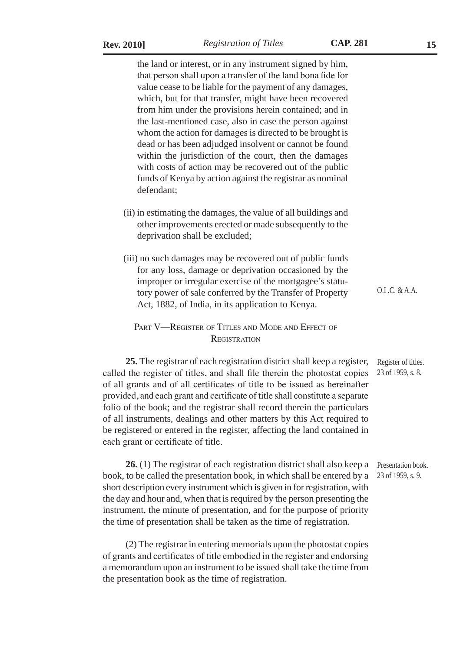the land or interest, or in any instrument signed by him, that person shall upon a transfer of the land bona fide for value cease to be liable for the payment of any damages, which, but for that transfer, might have been recovered from him under the provisions herein contained; and in the last-mentioned case, also in case the person against whom the action for damages is directed to be brought is dead or has been adjudged insolvent or cannot be found within the jurisdiction of the court, then the damages with costs of action may be recovered out of the public funds of Kenya by action against the registrar as nominal defendant;

- (ii) in estimating the damages, the value of all buildings and other improvements erected or made subsequently to the deprivation shall be excluded;
- (iii) no such damages may be recovered out of public funds for any loss, damage or deprivation occasioned by the improper or irregular exercise of the mortgagee's statutory power of sale conferred by the Transfer of Property Act, 1882, of India, in its application to Kenya.

### PART V—REGISTER OF TITLES AND MODE AND EFFECT OF **REGISTRATION**

**25.** The registrar of each registration district shall keep a register, called the register of titles, and shall file therein the photostat copies of all grants and of all certificates of title to be issued as hereinafter provided, and each grant and certificate of title shall constitute a separate folio of the book; and the registrar shall record therein the particulars of all instruments, dealings and other matters by this Act required to be registered or entered in the register, affecting the land contained in each grant or certificate of title.

26. (1) The registrar of each registration district shall also keep a Presentation book. book, to be called the presentation book, in which shall be entered by a short description every instrument which is given in for registration, with the day and hour and, when that is required by the person presenting the instrument, the minute of presentation, and for the purpose of priority the time of presentation shall be taken as the time of registration.

(2) The registrar in entering memorials upon the photostat copies of grants and certificates of title embodied in the register and endorsing a memorandum upon an instrument to be issued shall take the time from the presentation book as the time of registration.

O.I .C. & A.A.

Register of titles. 23 of 1959, s. 8.

23 of 1959, s. 9.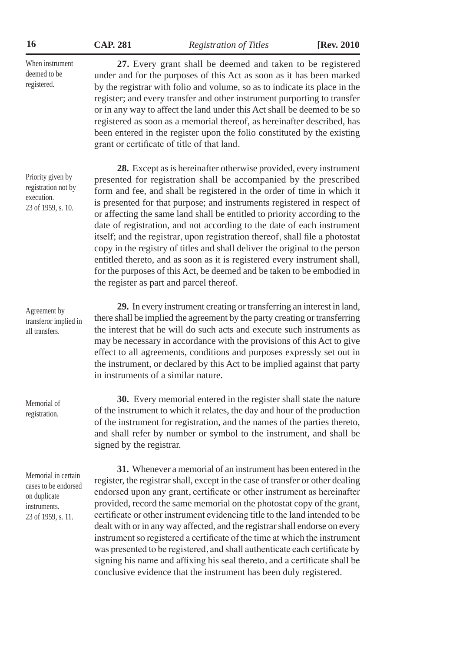| 16                                                                                                | <b>CAP. 281</b>                          | <b>Registration of Titles</b>                                                                                                                                                                                                                                                                                                                                                                                                                                                                                                                                                                                                                                                                                                                                                        | [Rev. 2010] |
|---------------------------------------------------------------------------------------------------|------------------------------------------|--------------------------------------------------------------------------------------------------------------------------------------------------------------------------------------------------------------------------------------------------------------------------------------------------------------------------------------------------------------------------------------------------------------------------------------------------------------------------------------------------------------------------------------------------------------------------------------------------------------------------------------------------------------------------------------------------------------------------------------------------------------------------------------|-------------|
| When instrument<br>deemed to be<br>registered.                                                    |                                          | 27. Every grant shall be deemed and taken to be registered<br>under and for the purposes of this Act as soon as it has been marked<br>by the registrar with folio and volume, so as to indicate its place in the<br>register; and every transfer and other instrument purporting to transfer<br>or in any way to affect the land under this Act shall be deemed to be so<br>registered as soon as a memorial thereof, as hereinafter described, has<br>been entered in the register upon the folio constituted by the existing<br>grant or certificate of title of that land.                                                                                                                                                                                                        |             |
| Priority given by<br>registration not by<br>execution.<br>23 of 1959, s. 10.                      | the register as part and parcel thereof. | 28. Except as is hereinafter otherwise provided, every instrument<br>presented for registration shall be accompanied by the prescribed<br>form and fee, and shall be registered in the order of time in which it<br>is presented for that purpose; and instruments registered in respect of<br>or affecting the same land shall be entitled to priority according to the<br>date of registration, and not according to the date of each instrument<br>itself; and the registrar, upon registration thereof, shall file a photostat<br>copy in the registry of titles and shall deliver the original to the person<br>entitled thereto, and as soon as it is registered every instrument shall,<br>for the purposes of this Act, be deemed and be taken to be embodied in             |             |
| Agreement by<br>transferor implied in<br>all transfers.                                           | in instruments of a similar nature.      | 29. In every instrument creating or transferring an interest in land,<br>there shall be implied the agreement by the party creating or transferring<br>the interest that he will do such acts and execute such instruments as<br>may be necessary in accordance with the provisions of this Act to give<br>effect to all agreements, conditions and purposes expressly set out in<br>the instrument, or declared by this Act to be implied against that party                                                                                                                                                                                                                                                                                                                        |             |
| Memorial of<br>registration.                                                                      | signed by the registrar.                 | 30. Every memorial entered in the register shall state the nature<br>of the instrument to which it relates, the day and hour of the production<br>of the instrument for registration, and the names of the parties thereto,<br>and shall refer by number or symbol to the instrument, and shall be                                                                                                                                                                                                                                                                                                                                                                                                                                                                                   |             |
| Memorial in certain<br>cases to be endorsed<br>on duplicate<br>instruments.<br>23 of 1959, s. 11. |                                          | 31. Whenever a memorial of an instrument has been entered in the<br>register, the registrar shall, except in the case of transfer or other dealing<br>endorsed upon any grant, certificate or other instrument as hereinafter<br>provided, record the same memorial on the photostat copy of the grant,<br>certificate or other instrument evidencing title to the land intended to be<br>dealt with or in any way affected, and the registrar shall endorse on every<br>instrument so registered a certificate of the time at which the instrument<br>was presented to be registered, and shall authenticate each certificate by<br>signing his name and affixing his seal thereto, and a certificate shall be<br>conclusive evidence that the instrument has been duly registered. |             |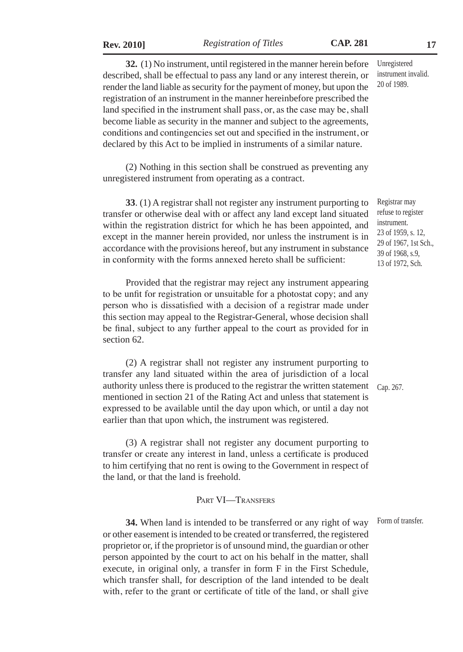**Rev. 2010]** *Registration of Titles* **CAP. 281 17**

**32.** (1) No instrument, until registered in the manner herein before described, shall be effectual to pass any land or any interest therein, or render the land liable as security for the payment of money, but upon the registration of an instrument in the manner hereinbefore prescribed the land specified in the instrument shall pass, or, as the case may be, shall become liable as security in the manner and subject to the agreements, conditions and contingencies set out and specified in the instrument, or declared by this Act to be implied in instruments of a similar nature.

(2) Nothing in this section shall be construed as preventing any unregistered instrument from operating as a contract.

**33**. (1) A registrar shall not register any instrument purporting to transfer or otherwise deal with or affect any land except land situated within the registration district for which he has been appointed, and except in the manner herein provided, nor unless the instrument is in accordance with the provisions hereof, but any instrument in substance in conformity with the forms annexed hereto shall be sufficient:

Provided that the registrar may reject any instrument appearing to be unfit for registration or unsuitable for a photostat copy; and any person who is dissatisfied with a decision of a registrar made under this section may appeal to the Registrar-General, whose decision shall be final, subject to any further appeal to the court as provided for in section 62.

(2) A registrar shall not register any instrument purporting to transfer any land situated within the area of jurisdiction of a local authority unless there is produced to the registrar the written statement mentioned in section 21 of the Rating Act and unless that statement is expressed to be available until the day upon which, or until a day not earlier than that upon which, the instrument was registered.

Cap. 267.

(3) A registrar shall not register any document purporting to transfer or create any interest in land, unless a certificate is produced to him certifying that no rent is owing to the Government in respect of the land, or that the land is freehold.

#### PART VI-TRANSFERS

**34.** When land is intended to be transferred or any right of way or other easement is intended to be created or transferred, the registered proprietor or, if the proprietor is of unsound mind, the guardian or other person appointed by the court to act on his behalf in the matter, shall execute, in original only, a transfer in form F in the First Schedule, which transfer shall, for description of the land intended to be dealt with, refer to the grant or certificate of title of the land, or shall give Form of transfer.

Unregistered instrument invalid. 20 of 1989.

Registrar may refuse to register instrument. 23 of 1959, s. 12, 29 of 1967, 1st Sch., 39 of 1968, s.9, 13 of 1972, Sch.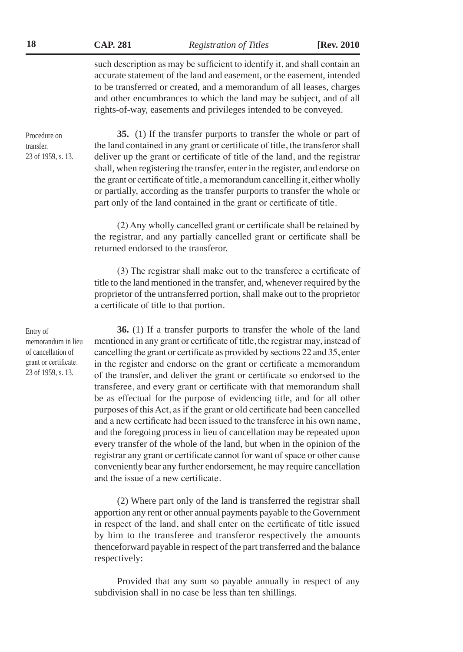**18 CAP. 281** *Registration of Titles* **[Rev. 2010**

such description as may be sufficient to identify it, and shall contain an accurate statement of the land and easement, or the easement, intended to be transferred or created, and a memorandum of all leases, charges and other encumbrances to which the land may be subject, and of all rights-of-way, easements and privileges intended to be conveyed.

Procedure on transfer. 23 of 1959, s. 13.

**35.** (1) If the transfer purports to transfer the whole or part of the land contained in any grant or certificate of title, the transferor shall deliver up the grant or certificate of title of the land, and the registrar shall, when registering the transfer, enter in the register, and endorse on the grant or certificate of title, a memorandum cancelling it, either wholly or partially, according as the transfer purports to transfer the whole or part only of the land contained in the grant or certificate of title.

(2) Any wholly cancelled grant or certificate shall be retained by the registrar, and any partially cancelled grant or certificate shall be returned endorsed to the transferor.

(3) The registrar shall make out to the transferee a certificate of title to the land mentioned in the transfer, and, whenever required by the proprietor of the untransferred portion, shall make out to the proprietor a certificate of title to that portion.

**36.** (1) If a transfer purports to transfer the whole of the land mentioned in any grant or certificate of title, the registrar may, instead of cancelling the grant or certificate as provided by sections 22 and 35, enter in the register and endorse on the grant or certificate a memorandum of the transfer, and deliver the grant or certificate so endorsed to the transferee, and every grant or certificate with that memorandum shall be as effectual for the purpose of evidencing title, and for all other purposes of this Act, as if the grant or old certificate had been cancelled and a new certificate had been issued to the transferee in his own name, and the foregoing process in lieu of cancellation may be repeated upon every transfer of the whole of the land, but when in the opinion of the registrar any grant or certificate cannot for want of space or other cause conveniently bear any further endorsement, he may require cancellation and the issue of a new certificate.

(2) Where part only of the land is transferred the registrar shall apportion any rent or other annual payments payable to the Government in respect of the land, and shall enter on the certificate of title issued by him to the transferee and transferor respectively the amounts thenceforward payable in respect of the part transferred and the balance respectively:

Provided that any sum so payable annually in respect of any subdivision shall in no case be less than ten shillings.

Entry of memorandum in lieu of cancellation of grant or certificate. 23 of 1959, s. 13.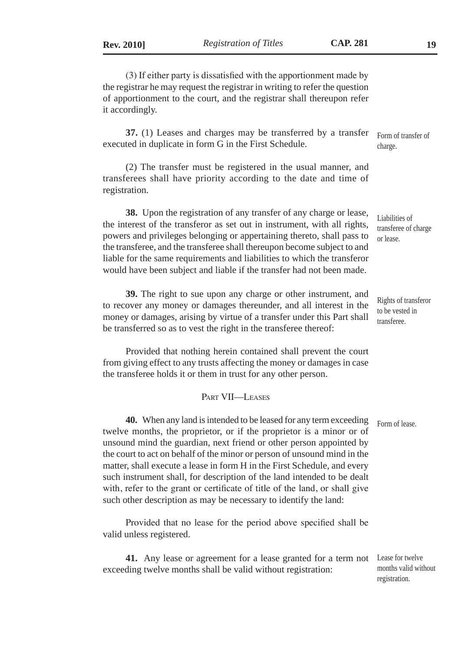(3) If either party is dissatisfied with the apportionment made by the registrar he may request the registrar in writing to refer the question of apportionment to the court, and the registrar shall thereupon refer it accordingly.

**37.** (1) Leases and charges may be transferred by a transfer executed in duplicate in form G in the First Schedule. Form of transfer of charge.

(2) The transfer must be registered in the usual manner, and transferees shall have priority according to the date and time of registration.

**38.** Upon the registration of any transfer of any charge or lease, the interest of the transferor as set out in instrument, with all rights, powers and privileges belonging or appertaining thereto, shall pass to the transferee, and the transferee shall thereupon become subject to and liable for the same requirements and liabilities to which the transferor would have been subject and liable if the transfer had not been made.

**39.** The right to sue upon any charge or other instrument, and to recover any money or damages thereunder, and all interest in the money or damages, arising by virtue of a transfer under this Part shall be transferred so as to vest the right in the transferee thereof:

Provided that nothing herein contained shall prevent the court from giving effect to any trusts affecting the money or damages in case the transferee holds it or them in trust for any other person.

#### Part VII—Leases

**40.** When any land is intended to be leased for any term exceeding twelve months, the proprietor, or if the proprietor is a minor or of unsound mind the guardian, next friend or other person appointed by the court to act on behalf of the minor or person of unsound mind in the matter, shall execute a lease in form H in the First Schedule, and every such instrument shall, for description of the land intended to be dealt with, refer to the grant or certificate of title of the land, or shall give such other description as may be necessary to identify the land: Form of lease.

Provided that no lease for the period above specified shall be valid unless registered.

**41.** Any lease or agreement for a lease granted for a term not exceeding twelve months shall be valid without registration:

transferee of charge or lease.

Liabilities of

Rights of transferor to be vested in transferee.

Lease for twelve months valid without registration.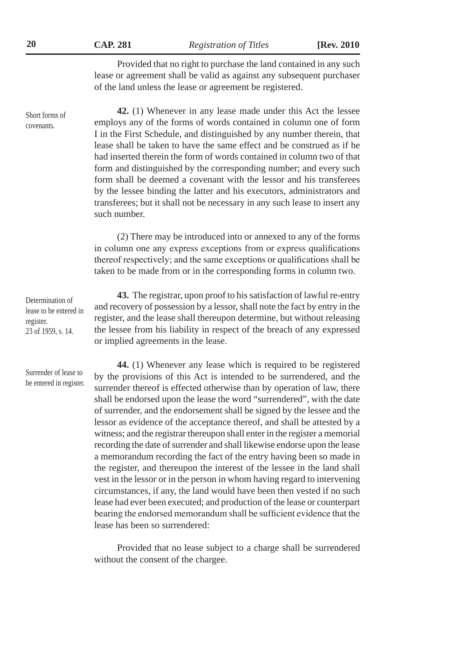**20 CAP. 281** *Registration of Titles* **[Rev. 2010**

Provided that no right to purchase the land contained in any such lease or agreement shall be valid as against any subsequent purchaser of the land unless the lease or agreement be registered.

**42.** (1) Whenever in any lease made under this Act the lessee employs any of the forms of words contained in column one of form I in the First Schedule, and distinguished by any number therein, that lease shall be taken to have the same effect and be construed as if he had inserted therein the form of words contained in column two of that form and distinguished by the corresponding number; and every such form shall be deemed a covenant with the lessor and his transferees by the lessee binding the latter and his executors, administrators and transferees; but it shall not be necessary in any such lease to insert any such number.

(2) There may be introduced into or annexed to any of the forms in column one any express exceptions from or express qualifications thereof respectively; and the same exceptions or qualifications shall be taken to be made from or in the corresponding forms in column two.

**43.** The registrar, upon proof to his satisfaction of lawful re-entry and recovery of possession by a lessor, shall note the fact by entry in the register, and the lease shall thereupon determine, but without releasing the lessee from his liability in respect of the breach of any expressed or implied agreements in the lease.

**44.** (1) Whenever any lease which is required to be registered by the provisions of this Act is intended to be surrendered, and the surrender thereof is effected otherwise than by operation of law, there shall be endorsed upon the lease the word "surrendered", with the date of surrender, and the endorsement shall be signed by the lessee and the lessor as evidence of the acceptance thereof, and shall be attested by a witness; and the registrar thereupon shall enter in the register a memorial recording the date of surrender and shall likewise endorse upon the lease a memorandum recording the fact of the entry having been so made in the register, and thereupon the interest of the lessee in the land shall vest in the lessor or in the person in whom having regard to intervening circumstances, if any, the land would have been then vested if no such lease had ever been executed; and production of the lease or counterpart bearing the endorsed memorandum shall be sufficient evidence that the lease has been so surrendered:

Provided that no lease subject to a charge shall be surrendered without the consent of the chargee.

Surrender of lease to be entered in register.

Short forms of covenants.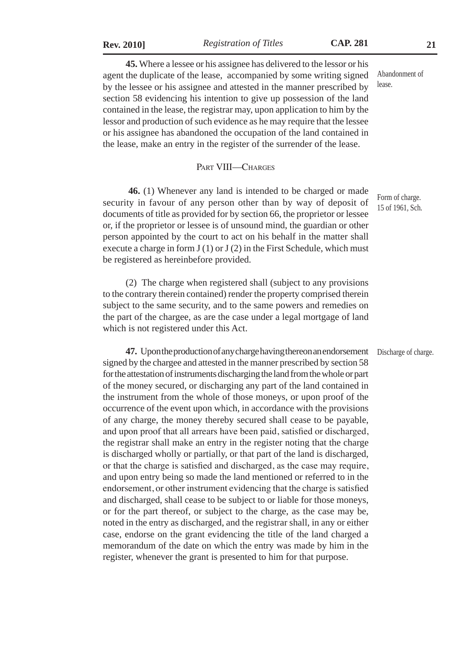**Rev. 2010]** *Registration of Titles* **CAP. 281 21**

**45.** Where a lessee or his assignee has delivered to the lessor or his agent the duplicate of the lease, accompanied by some writing signed by the lessee or his assignee and attested in the manner prescribed by section 58 evidencing his intention to give up possession of the land contained in the lease, the registrar may, upon application to him by the lessor and production of such evidence as he may require that the lessee or his assignee has abandoned the occupation of the land contained in the lease, make an entry in the register of the surrender of the lease. Abandonment of lease.

#### PART VIII—CHARGES

**46.** (1) Whenever any land is intended to be charged or made security in favour of any person other than by way of deposit of documents of title as provided for by section 66, the proprietor or lessee or, if the proprietor or lessee is of unsound mind, the guardian or other person appointed by the court to act on his behalf in the matter shall execute a charge in form  $J(1)$  or  $J(2)$  in the First Schedule, which must be registered as hereinbefore provided.

(2) The charge when registered shall (subject to any provisions to the contrary therein contained) render the property comprised therein subject to the same security, and to the same powers and remedies on the part of the chargee, as are the case under a legal mortgage of land which is not registered under this Act.

**47.** Upon the production of any charge having thereon an endorsement signed by the chargee and attested in the manner prescribed by section 58 for the attestation of instruments discharging the land from the whole or part of the money secured, or discharging any part of the land contained in the instrument from the whole of those moneys, or upon proof of the occurrence of the event upon which, in accordance with the provisions of any charge, the money thereby secured shall cease to be payable, and upon proof that all arrears have been paid, satisfied or discharged, the registrar shall make an entry in the register noting that the charge is discharged wholly or partially, or that part of the land is discharged, or that the charge is satisfied and discharged, as the case may require, and upon entry being so made the land mentioned or referred to in the endorsement, or other instrument evidencing that the charge is satisfied and discharged, shall cease to be subject to or liable for those moneys, or for the part thereof, or subject to the charge, as the case may be, noted in the entry as discharged, and the registrar shall, in any or either case, endorse on the grant evidencing the title of the land charged a memorandum of the date on which the entry was made by him in the register, whenever the grant is presented to him for that purpose. Discharge of charge.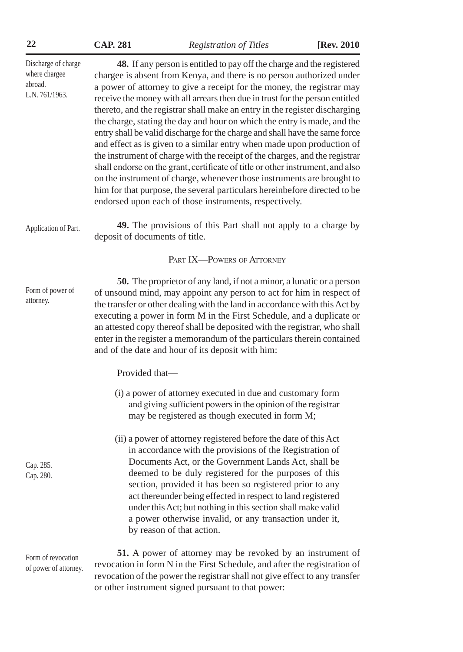|  | <b>CAP. 281</b> |
|--|-----------------|
|  |                 |

**22 CAP. 281** *Registration of Titles* **[Rev. 2010**

| Discharge of charge<br>where chargee<br>abroad.<br>L.N. 761/1963. | 48. If any person is entitled to pay off the charge and the registered<br>chargee is absent from Kenya, and there is no person authorized under<br>a power of attorney to give a receipt for the money, the registrar may<br>receive the money with all arrears then due in trust for the person entitled<br>thereto, and the registrar shall make an entry in the register discharging<br>the charge, stating the day and hour on which the entry is made, and the<br>entry shall be valid discharge for the charge and shall have the same force<br>and effect as is given to a similar entry when made upon production of<br>the instrument of charge with the receipt of the charges, and the registrar<br>shall endorse on the grant, certificate of title or other instrument, and also<br>on the instrument of charge, whenever those instruments are brought to<br>him for that purpose, the several particulars hereinbefore directed to be<br>endorsed upon each of those instruments, respectively. |
|-------------------------------------------------------------------|----------------------------------------------------------------------------------------------------------------------------------------------------------------------------------------------------------------------------------------------------------------------------------------------------------------------------------------------------------------------------------------------------------------------------------------------------------------------------------------------------------------------------------------------------------------------------------------------------------------------------------------------------------------------------------------------------------------------------------------------------------------------------------------------------------------------------------------------------------------------------------------------------------------------------------------------------------------------------------------------------------------|
| Application of Part.                                              | 49. The provisions of this Part shall not apply to a charge by<br>deposit of documents of title.                                                                                                                                                                                                                                                                                                                                                                                                                                                                                                                                                                                                                                                                                                                                                                                                                                                                                                               |
|                                                                   | PART IX-POWERS OF ATTORNEY                                                                                                                                                                                                                                                                                                                                                                                                                                                                                                                                                                                                                                                                                                                                                                                                                                                                                                                                                                                     |
| Form of power of<br>attorney.                                     | <b>50.</b> The proprietor of any land, if not a minor, a lunatic or a person<br>of unsound mind, may appoint any person to act for him in respect of<br>the transfer or other dealing with the land in accordance with this Act by<br>executing a power in form M in the First Schedule, and a duplicate or<br>an attested copy thereof shall be deposited with the registrar, who shall<br>enter in the register a memorandum of the particulars therein contained<br>and of the date and hour of its deposit with him:                                                                                                                                                                                                                                                                                                                                                                                                                                                                                       |
|                                                                   | Provided that-                                                                                                                                                                                                                                                                                                                                                                                                                                                                                                                                                                                                                                                                                                                                                                                                                                                                                                                                                                                                 |
|                                                                   | (i) a power of attorney executed in due and customary form<br>and giving sufficient powers in the opinion of the registrar<br>may be registered as though executed in form M;                                                                                                                                                                                                                                                                                                                                                                                                                                                                                                                                                                                                                                                                                                                                                                                                                                  |
| Cap. 285.<br>Cap. 280.                                            | (ii) a power of attorney registered before the date of this Act<br>in accordance with the provisions of the Registration of<br>Documents Act, or the Government Lands Act, shall be<br>deemed to be duly registered for the purposes of this<br>section, provided it has been so registered prior to any<br>act thereunder being effected in respect to land registered<br>under this Act; but nothing in this section shall make valid<br>a power otherwise invalid, or any transaction under it,<br>by reason of that action.                                                                                                                                                                                                                                                                                                                                                                                                                                                                                |
| Form of revocation<br>of power of attorney.                       | 51. A power of attorney may be revoked by an instrument of<br>revocation in form N in the First Schedule, and after the registration of<br>revocation of the power the registrar shall not give effect to any transfer                                                                                                                                                                                                                                                                                                                                                                                                                                                                                                                                                                                                                                                                                                                                                                                         |

or other instrument signed pursuant to that power: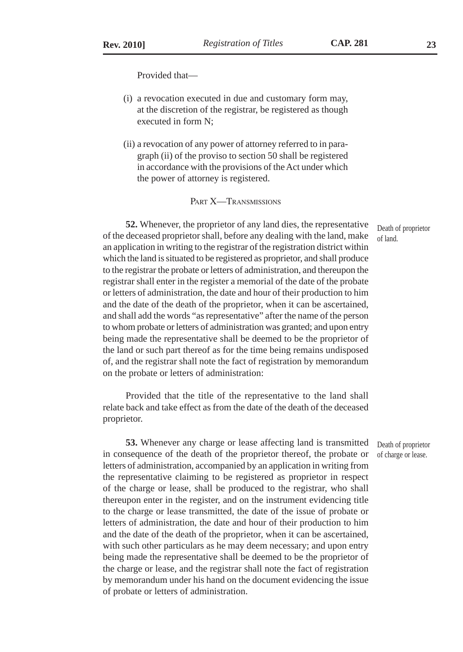Provided that—

- (i) a revocation executed in due and customary form may, at the discretion of the registrar, be registered as though executed in form N;
- (ii) a revocation of any power of attorney referred to in paragraph (ii) of the proviso to section 50 shall be registered in accordance with the provisions of the Act under which the power of attorney is registered.

#### PART **X—TRANSMISSIONS**

**52.** Whenever, the proprietor of any land dies, the representative of the deceased proprietor shall, before any dealing with the land, make an application in writing to the registrar of the registration district within which the land is situated to be registered as proprietor, and shall produce to the registrar the probate or letters of administration, and thereupon the registrar shall enter in the register a memorial of the date of the probate or letters of administration, the date and hour of their production to him and the date of the death of the proprietor, when it can be ascertained, and shall add the words "as representative" after the name of the person to whom probate or letters of administration was granted; and upon entry being made the representative shall be deemed to be the proprietor of the land or such part thereof as for the time being remains undisposed of, and the registrar shall note the fact of registration by memorandum on the probate or letters of administration:

Provided that the title of the representative to the land shall relate back and take effect as from the date of the death of the deceased proprietor.

**53.** Whenever any charge or lease affecting land is transmitted in consequence of the death of the proprietor thereof, the probate or letters of administration, accompanied by an application in writing from the representative claiming to be registered as proprietor in respect of the charge or lease, shall be produced to the registrar, who shall thereupon enter in the register, and on the instrument evidencing title to the charge or lease transmitted, the date of the issue of probate or letters of administration, the date and hour of their production to him and the date of the death of the proprietor, when it can be ascertained, with such other particulars as he may deem necessary; and upon entry being made the representative shall be deemed to be the proprietor of the charge or lease, and the registrar shall note the fact of registration by memorandum under his hand on the document evidencing the issue of probate or letters of administration.

Death of proprietor of charge or lease.

Death of proprietor of land.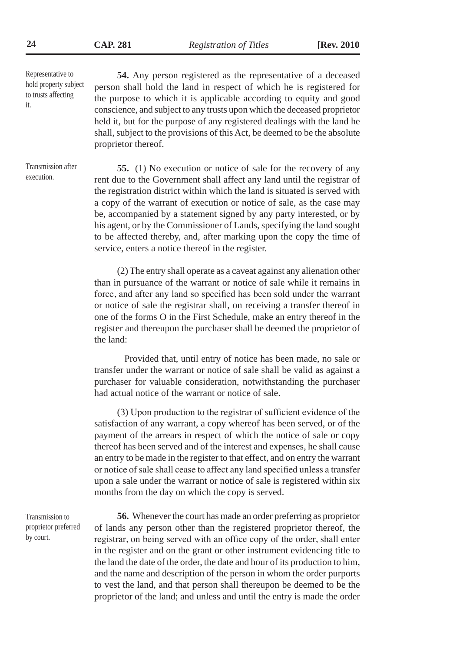Representative to hold property subject to trusts affecting it.

Transmission after execution.

**54.** Any person registered as the representative of a deceased person shall hold the land in respect of which he is registered for the purpose to which it is applicable according to equity and good conscience, and subject to any trusts upon which the deceased proprietor held it, but for the purpose of any registered dealings with the land he shall, subject to the provisions of this Act, be deemed to be the absolute proprietor thereof.

**55.** (1) No execution or notice of sale for the recovery of any rent due to the Government shall affect any land until the registrar of the registration district within which the land is situated is served with a copy of the warrant of execution or notice of sale, as the case may be, accompanied by a statement signed by any party interested, or by his agent, or by the Commissioner of Lands, specifying the land sought to be affected thereby, and, after marking upon the copy the time of service, enters a notice thereof in the register.

(2) The entry shall operate as a caveat against any alienation other than in pursuance of the warrant or notice of sale while it remains in force, and after any land so specified has been sold under the warrant or notice of sale the registrar shall, on receiving a transfer thereof in one of the forms O in the First Schedule, make an entry thereof in the register and thereupon the purchaser shall be deemed the proprietor of the land:

Provided that, until entry of notice has been made, no sale or transfer under the warrant or notice of sale shall be valid as against a purchaser for valuable consideration, notwithstanding the purchaser had actual notice of the warrant or notice of sale.

(3) Upon production to the registrar of sufficient evidence of the satisfaction of any warrant, a copy whereof has been served, or of the payment of the arrears in respect of which the notice of sale or copy thereof has been served and of the interest and expenses, he shall cause an entry to be made in the register to that effect, and on entry the warrant or notice of sale shall cease to affect any land specified unless a transfer upon a sale under the warrant or notice of sale is registered within six months from the day on which the copy is served.

**56.** Whenever the court has made an order preferring as proprietor of lands any person other than the registered proprietor thereof, the registrar, on being served with an office copy of the order, shall enter in the register and on the grant or other instrument evidencing title to the land the date of the order, the date and hour of its production to him, and the name and description of the person in whom the order purports to vest the land, and that person shall thereupon be deemed to be the proprietor of the land; and unless and until the entry is made the order

Transmission to proprietor preferred by court.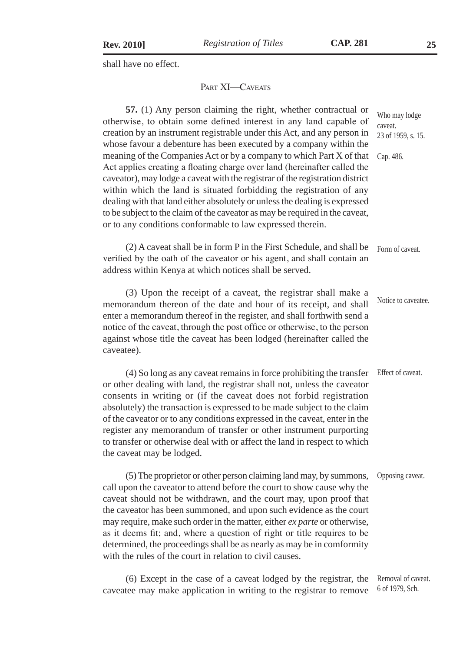shall have no effect.

#### PART **XI**—CAVEATS

**57.** (1) Any person claiming the right, whether contractual or otherwise, to obtain some defined interest in any land capable of creation by an instrument registrable under this Act, and any person in whose favour a debenture has been executed by a company within the meaning of the Companies Act or by a company to which Part X of that Act applies creating a floating charge over land (hereinafter called the caveator), may lodge a caveat with the registrar of the registration district within which the land is situated forbidding the registration of any dealing with that land either absolutely or unless the dealing is expressed to be subject to the claim of the caveator as may be required in the caveat, or to any conditions conformable to law expressed therein. Who may lodge caveat. 23 of 1959, s. 15. Cap. 486.

(2) A caveat shall be in form P in the First Schedule, and shall be verified by the oath of the caveator or his agent, and shall contain an address within Kenya at which notices shall be served. Form of caveat.

(3) Upon the receipt of a caveat, the registrar shall make a memorandum thereon of the date and hour of its receipt, and shall enter a memorandum thereof in the register, and shall forthwith send a notice of the caveat, through the post office or otherwise, to the person against whose title the caveat has been lodged (hereinafter called the caveatee). Notice to caveatee.

(4) So long as any caveat remains in force prohibiting the transfer or other dealing with land, the registrar shall not, unless the caveator consents in writing or (if the caveat does not forbid registration absolutely) the transaction is expressed to be made subject to the claim of the caveator or to any conditions expressed in the caveat, enter in the register any memorandum of transfer or other instrument purporting to transfer or otherwise deal with or affect the land in respect to which the caveat may be lodged. Effect of caveat.

(5) The proprietor or other person claiming land may, by summons, call upon the caveator to attend before the court to show cause why the caveat should not be withdrawn, and the court may, upon proof that the caveator has been summoned, and upon such evidence as the court may require, make such order in the matter, either *ex parte* or otherwise, as it deems fit; and, where a question of right or title requires to be determined, the proceedings shall be as nearly as may be in comformity with the rules of the court in relation to civil causes. Opposing caveat.

(6) Except in the case of a caveat lodged by the registrar, the caveatee may make application in writing to the registrar to remove Removal of caveat. 6 of 1979, Sch.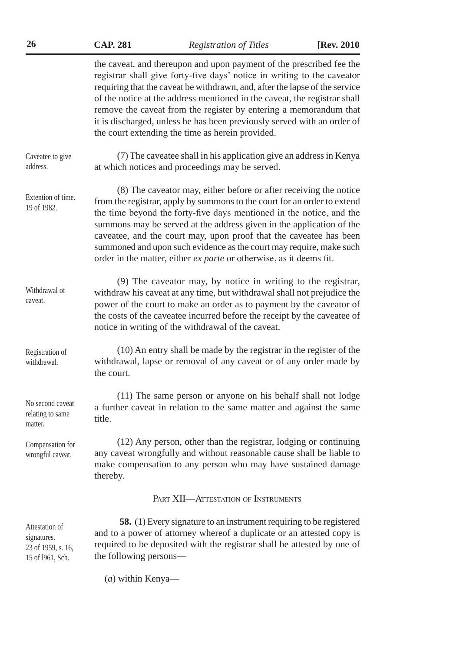| 26                                                                      | <b>CAP. 281</b>        | <b>Registration of Titles</b>                                                                                                                                                                                                                                                                                                                                                                                                                                                                                     | [Rev. 2010] |
|-------------------------------------------------------------------------|------------------------|-------------------------------------------------------------------------------------------------------------------------------------------------------------------------------------------------------------------------------------------------------------------------------------------------------------------------------------------------------------------------------------------------------------------------------------------------------------------------------------------------------------------|-------------|
|                                                                         |                        | the caveat, and thereupon and upon payment of the prescribed fee the<br>registrar shall give forty-five days' notice in writing to the caveator<br>requiring that the caveat be withdrawn, and, after the lapse of the service<br>of the notice at the address mentioned in the caveat, the registrar shall<br>remove the caveat from the register by entering a memorandum that<br>it is discharged, unless he has been previously served with an order of<br>the court extending the time as herein provided.   |             |
| Caveatee to give<br>address.                                            |                        | (7) The caveatee shall in his application give an address in Kenya<br>at which notices and proceedings may be served.                                                                                                                                                                                                                                                                                                                                                                                             |             |
| Extention of time.<br>19 of 1982.                                       |                        | (8) The caveator may, either before or after receiving the notice<br>from the registrar, apply by summons to the court for an order to extend<br>the time beyond the forty-five days mentioned in the notice, and the<br>summons may be served at the address given in the application of the<br>caveatee, and the court may, upon proof that the caveatee has been<br>summoned and upon such evidence as the court may require, make such<br>order in the matter, either ex parte or otherwise, as it deems fit. |             |
| Withdrawal of<br>caveat.                                                |                        | (9) The caveator may, by notice in writing to the registrar,<br>withdraw his caveat at any time, but withdrawal shall not prejudice the<br>power of the court to make an order as to payment by the caveator of<br>the costs of the caveatee incurred before the receipt by the caveatee of<br>notice in writing of the withdrawal of the caveat.                                                                                                                                                                 |             |
| Registration of<br>withdrawal.                                          | the court.             | (10) An entry shall be made by the registrar in the register of the<br>withdrawal, lapse or removal of any caveat or of any order made by                                                                                                                                                                                                                                                                                                                                                                         |             |
| No second caveat<br>relating to same<br>matter.                         | title.                 | (11) The same person or anyone on his behalf shall not lodge<br>a further caveat in relation to the same matter and against the same                                                                                                                                                                                                                                                                                                                                                                              |             |
| Compensation for<br>wrongful caveat.                                    | thereby.               | (12) Any person, other than the registrar, lodging or continuing<br>any caveat wrongfully and without reasonable cause shall be liable to<br>make compensation to any person who may have sustained damage                                                                                                                                                                                                                                                                                                        |             |
|                                                                         |                        | PART XII-ATTESTATION OF INSTRUMENTS                                                                                                                                                                                                                                                                                                                                                                                                                                                                               |             |
| Attestation of<br>signatures.<br>23 of 1959, s. 16,<br>15 of 1961, Sch. | the following persons— | <b>58.</b> (1) Every signature to an instrument requiring to be registered<br>and to a power of attorney whereof a duplicate or an attested copy is<br>required to be deposited with the registrar shall be attested by one of                                                                                                                                                                                                                                                                                    |             |
|                                                                         |                        |                                                                                                                                                                                                                                                                                                                                                                                                                                                                                                                   |             |

(*a*) within Kenya—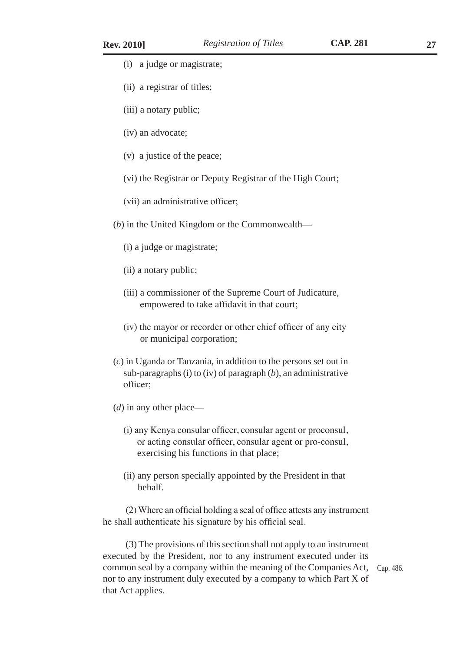- (i) a judge or magistrate;
- (ii) a registrar of titles;
- (iii) a notary public;
- (iv) an advocate;
- (v) a justice of the peace;
- (vi) the Registrar or Deputy Registrar of the High Court;
- (vii) an administrative officer;
- (*b*) in the United Kingdom or the Commonwealth—
	- (i) a judge or magistrate;
	- (ii) a notary public;
	- (iii) a commissioner of the Supreme Court of Judicature, empowered to take affidavit in that court;
	- (iv) the mayor or recorder or other chief officer of any city or municipal corporation;
- (*c*) in Uganda or Tanzania, in addition to the persons set out in sub-paragraphs (i) to (iv) of paragraph (*b*), an administrative officer;
- (*d*) in any other place—
	- (i) any Kenya consular officer, consular agent or proconsul, or acting consular officer, consular agent or pro-consul, exercising his functions in that place;
	- (ii) any person specially appointed by the President in that behalf.

(2) Where an official holding a seal of office attests any instrument he shall authenticate his signature by his official seal.

(3) The provisions of this section shall not apply to an instrument executed by the President, nor to any instrument executed under its common seal by a company within the meaning of the Companies Act, Cap. 486.nor to any instrument duly executed by a company to which Part X of that Act applies.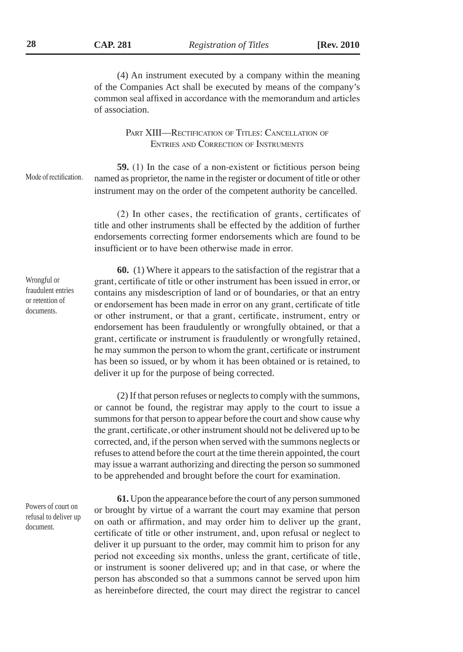**28 CAP. 281** *Registration of Titles* **[Rev. 2010**

(4) An instrument executed by a company within the meaning of the Companies Act shall be executed by means of the company's common seal affixed in accordance with the memorandum and articles of association.

> PART XIII—RECTIFICATION OF TITLES: CANCELLATION OF Entries and Correction of Instruments

Mode of rectification.

**59.** (1) In the case of a non-existent or fictitious person being named as proprietor, the name in the register or document of title or other instrument may on the order of the competent authority be cancelled.

(2) In other cases, the rectification of grants, certificates of title and other instruments shall be effected by the addition of further endorsements correcting former endorsements which are found to be insufficient or to have been otherwise made in error.

Wrongful or fraudulent entries or retention of documents.

**60.** (1) Where it appears to the satisfaction of the registrar that a grant, certificate of title or other instrument has been issued in error, or contains any misdescription of land or of boundaries, or that an entry or endorsement has been made in error on any grant, certificate of title or other instrument, or that a grant, certificate, instrument, entry or endorsement has been fraudulently or wrongfully obtained, or that a grant, certificate or instrument is fraudulently or wrongfully retained, he may summon the person to whom the grant, certificate or instrument has been so issued, or by whom it has been obtained or is retained, to deliver it up for the purpose of being corrected.

(2) If that person refuses or neglects to comply with the summons, or cannot be found, the registrar may apply to the court to issue a summons for that person to appear before the court and show cause why the grant, certificate, or other instrument should not be delivered up to be corrected, and, if the person when served with the summons neglects or refuses to attend before the court at the time therein appointed, the court may issue a warrant authorizing and directing the person so summoned to be apprehended and brought before the court for examination.

Powers of court on refusal to deliver up document.

**61.** Upon the appearance before the court of any person summoned or brought by virtue of a warrant the court may examine that person on oath or affirmation, and may order him to deliver up the grant, certificate of title or other instrument, and, upon refusal or neglect to deliver it up pursuant to the order, may commit him to prison for any period not exceeding six months, unless the grant, certificate of title, or instrument is sooner delivered up; and in that case, or where the person has absconded so that a summons cannot be served upon him as hereinbefore directed, the court may direct the registrar to cancel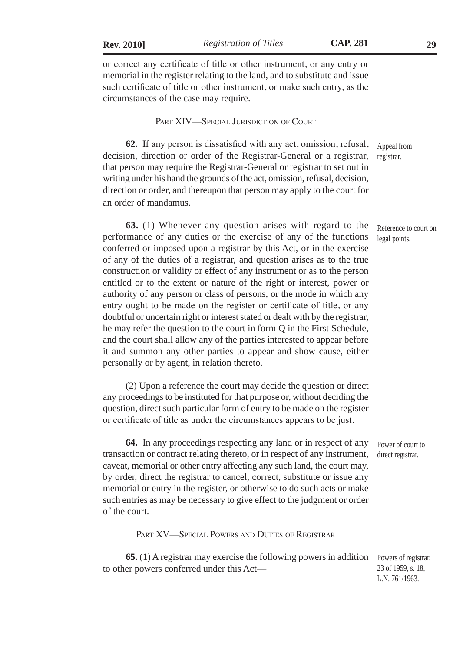or correct any certificate of title or other instrument, or any entry or memorial in the register relating to the land, and to substitute and issue such certificate of title or other instrument, or make such entry, as the circumstances of the case may require.

PART XIV—SPECIAL JURISDICTION OF COURT

**62.** If any person is dissatisfied with any act, omission, refusal, decision, direction or order of the Registrar-General or a registrar, that person may require the Registrar-General or registrar to set out in writing under his hand the grounds of the act, omission, refusal, decision, direction or order, and thereupon that person may apply to the court for an order of mandamus. Appeal from registrar.

**63.** (1) Whenever any question arises with regard to the performance of any duties or the exercise of any of the functions conferred or imposed upon a registrar by this Act, or in the exercise of any of the duties of a registrar, and question arises as to the true construction or validity or effect of any instrument or as to the person entitled or to the extent or nature of the right or interest, power or authority of any person or class of persons, or the mode in which any entry ought to be made on the register or certificate of title, or any doubtful or uncertain right or interest stated or dealt with by the registrar, he may refer the question to the court in form Q in the First Schedule, and the court shall allow any of the parties interested to appear before it and summon any other parties to appear and show cause, either personally or by agent, in relation thereto.

(2) Upon a reference the court may decide the question or direct any proceedings to be instituted for that purpose or, without deciding the question, direct such particular form of entry to be made on the register or certificate of title as under the circumstances appears to be just.

**64.** In any proceedings respecting any land or in respect of any transaction or contract relating thereto, or in respect of any instrument, caveat, memorial or other entry affecting any such land, the court may, by order, direct the registrar to cancel, correct, substitute or issue any memorial or entry in the register, or otherwise to do such acts or make such entries as may be necessary to give effect to the judgment or order of the court.

PART XV—SPECIAL POWERS AND DUTIES OF REGISTRAR

**65.** (1) A registrar may exercise the following powers in addition Powers of registrar. to other powers conferred under this Act—

23 of 1959, s. 18, L.N. 761/1963.

Power of court to direct registrar.

Reference to court on legal points.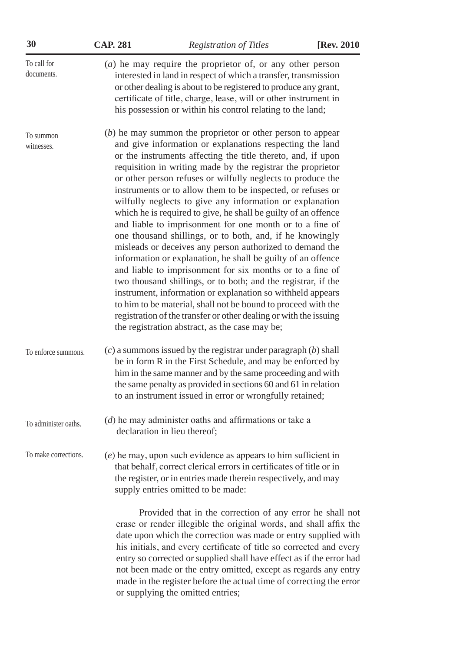| 30                        | <b>CAP. 281</b>                                                                                                                                                                                                                                                                                                                                                                                                                                                                                                                                                                                                                                                                                                                                                                                                                                                                                                                                                                                                                                                                                                                                             | <b>Registration of Titles</b>                                                                                                                                                                                                                                                                                                                                                                                                                                                             | [Rev. 2010 |
|---------------------------|-------------------------------------------------------------------------------------------------------------------------------------------------------------------------------------------------------------------------------------------------------------------------------------------------------------------------------------------------------------------------------------------------------------------------------------------------------------------------------------------------------------------------------------------------------------------------------------------------------------------------------------------------------------------------------------------------------------------------------------------------------------------------------------------------------------------------------------------------------------------------------------------------------------------------------------------------------------------------------------------------------------------------------------------------------------------------------------------------------------------------------------------------------------|-------------------------------------------------------------------------------------------------------------------------------------------------------------------------------------------------------------------------------------------------------------------------------------------------------------------------------------------------------------------------------------------------------------------------------------------------------------------------------------------|------------|
| To call for<br>documents. | $(a)$ he may require the proprietor of, or any other person<br>interested in land in respect of which a transfer, transmission<br>or other dealing is about to be registered to produce any grant,<br>certificate of title, charge, lease, will or other instrument in<br>his possession or within his control relating to the land;                                                                                                                                                                                                                                                                                                                                                                                                                                                                                                                                                                                                                                                                                                                                                                                                                        |                                                                                                                                                                                                                                                                                                                                                                                                                                                                                           |            |
| To summon<br>witnesses.   | $(b)$ he may summon the proprietor or other person to appear<br>and give information or explanations respecting the land<br>or the instruments affecting the title thereto, and, if upon<br>requisition in writing made by the registrar the proprietor<br>or other person refuses or wilfully neglects to produce the<br>instruments or to allow them to be inspected, or refuses or<br>wilfully neglects to give any information or explanation<br>which he is required to give, he shall be guilty of an offence<br>and liable to imprisonment for one month or to a fine of<br>one thousand shillings, or to both, and, if he knowingly<br>misleads or deceives any person authorized to demand the<br>information or explanation, he shall be guilty of an offence<br>and liable to imprisonment for six months or to a fine of<br>two thousand shillings, or to both; and the registrar, if the<br>instrument, information or explanation so withheld appears<br>to him to be material, shall not be bound to proceed with the<br>registration of the transfer or other dealing or with the issuing<br>the registration abstract, as the case may be; |                                                                                                                                                                                                                                                                                                                                                                                                                                                                                           |            |
| To enforce summons.       |                                                                                                                                                                                                                                                                                                                                                                                                                                                                                                                                                                                                                                                                                                                                                                                                                                                                                                                                                                                                                                                                                                                                                             | $(c)$ a summons issued by the registrar under paragraph $(b)$ shall<br>be in form R in the First Schedule, and may be enforced by<br>him in the same manner and by the same proceeding and with<br>the same penalty as provided in sections 60 and 61 in relation<br>to an instrument issued in error or wrongfully retained;                                                                                                                                                             |            |
| To administer oaths.      |                                                                                                                                                                                                                                                                                                                                                                                                                                                                                                                                                                                                                                                                                                                                                                                                                                                                                                                                                                                                                                                                                                                                                             | $(d)$ he may administer oaths and affirmations or take a<br>declaration in lieu thereof;                                                                                                                                                                                                                                                                                                                                                                                                  |            |
| To make corrections.      |                                                                                                                                                                                                                                                                                                                                                                                                                                                                                                                                                                                                                                                                                                                                                                                                                                                                                                                                                                                                                                                                                                                                                             | $(e)$ he may, upon such evidence as appears to him sufficient in<br>that behalf, correct clerical errors in certificates of title or in<br>the register, or in entries made therein respectively, and may<br>supply entries omitted to be made:                                                                                                                                                                                                                                           |            |
|                           |                                                                                                                                                                                                                                                                                                                                                                                                                                                                                                                                                                                                                                                                                                                                                                                                                                                                                                                                                                                                                                                                                                                                                             | Provided that in the correction of any error he shall not<br>erase or render illegible the original words, and shall affix the<br>date upon which the correction was made or entry supplied with<br>his initials, and every certificate of title so corrected and every<br>entry so corrected or supplied shall have effect as if the error had<br>not been made or the entry omitted, except as regards any entry<br>made in the register before the actual time of correcting the error |            |

or supplying the omitted entries;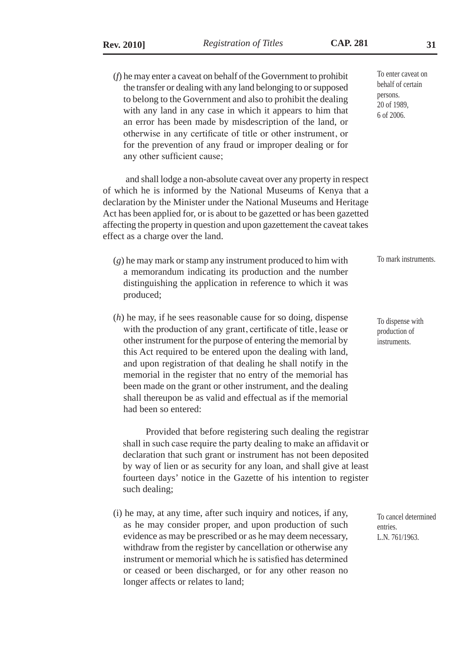any other sufficient cause;

(*f*) he may enter a caveat on behalf of the Government to prohibit the transfer or dealing with any land belonging to or supposed to belong to the Government and also to prohibit the dealing with any land in any case in which it appears to him that an error has been made by misdescription of the land, or otherwise in any certificate of title or other instrument, or for the prevention of any fraud or improper dealing or for

and shall lodge a non-absolute caveat over any property in respect of which he is informed by the National Museums of Kenya that a declaration by the Minister under the National Museums and Heritage Act has been applied for, or is about to be gazetted or has been gazetted affecting the property in question and upon gazettement the caveat takes effect as a charge over the land.

- (*g*) he may mark or stamp any instrument produced to him with a memorandum indicating its production and the number distinguishing the application in reference to which it was produced;
- (*h*) he may, if he sees reasonable cause for so doing, dispense with the production of any grant, certificate of title, lease or other instrument for the purpose of entering the memorial by this Act required to be entered upon the dealing with land, and upon registration of that dealing he shall notify in the memorial in the register that no entry of the memorial has been made on the grant or other instrument, and the dealing shall thereupon be as valid and effectual as if the memorial had been so entered:

Provided that before registering such dealing the registrar shall in such case require the party dealing to make an affidavit or declaration that such grant or instrument has not been deposited by way of lien or as security for any loan, and shall give at least fourteen days' notice in the Gazette of his intention to register such dealing;

(i) he may, at any time, after such inquiry and notices, if any, as he may consider proper, and upon production of such evidence as may be prescribed or as he may deem necessary, withdraw from the register by cancellation or otherwise any instrument or memorial which he is satisfied has determined or ceased or been discharged, or for any other reason no longer affects or relates to land;

To enter caveat on behalf of certain persons. 20 of 1989, 6 of 2006.

To mark instruments.

To dispense with production of instruments.

To cancel determined entries. L.N. 761/1963.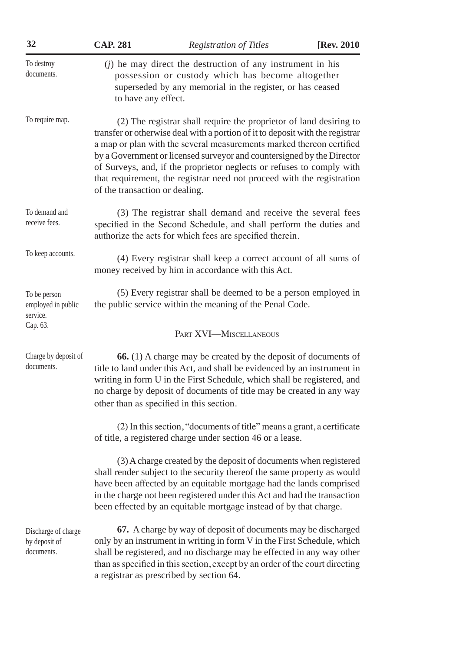| 32                                                         | <b>CAP. 281</b>                                                                                                                                                                                                                                                                                                                                                                                                                                                                            | <b>Registration of Titles</b>                                                                                                                                                                                                                                                                                                                                       | [Rev. 2010] |
|------------------------------------------------------------|--------------------------------------------------------------------------------------------------------------------------------------------------------------------------------------------------------------------------------------------------------------------------------------------------------------------------------------------------------------------------------------------------------------------------------------------------------------------------------------------|---------------------------------------------------------------------------------------------------------------------------------------------------------------------------------------------------------------------------------------------------------------------------------------------------------------------------------------------------------------------|-------------|
| To destroy<br>documents.                                   | $(j)$ he may direct the destruction of any instrument in his<br>possession or custody which has become altogether<br>superseded by any memorial in the register, or has ceased<br>to have any effect.                                                                                                                                                                                                                                                                                      |                                                                                                                                                                                                                                                                                                                                                                     |             |
| To require map.                                            | (2) The registrar shall require the proprietor of land desiring to<br>transfer or otherwise deal with a portion of it to deposit with the registrar<br>a map or plan with the several measurements marked thereon certified<br>by a Government or licensed surveyor and countersigned by the Director<br>of Surveys, and, if the proprietor neglects or refuses to comply with<br>that requirement, the registrar need not proceed with the registration<br>of the transaction or dealing. |                                                                                                                                                                                                                                                                                                                                                                     |             |
| To demand and<br>receive fees.                             | (3) The registrar shall demand and receive the several fees<br>specified in the Second Schedule, and shall perform the duties and<br>authorize the acts for which fees are specified therein.                                                                                                                                                                                                                                                                                              |                                                                                                                                                                                                                                                                                                                                                                     |             |
| To keep accounts.                                          | (4) Every registrar shall keep a correct account of all sums of<br>money received by him in accordance with this Act.                                                                                                                                                                                                                                                                                                                                                                      |                                                                                                                                                                                                                                                                                                                                                                     |             |
| To be person<br>employed in public<br>service.<br>Cap. 63. | (5) Every registrar shall be deemed to be a person employed in<br>the public service within the meaning of the Penal Code.                                                                                                                                                                                                                                                                                                                                                                 |                                                                                                                                                                                                                                                                                                                                                                     |             |
|                                                            |                                                                                                                                                                                                                                                                                                                                                                                                                                                                                            | PART XVI-MISCELLANEOUS                                                                                                                                                                                                                                                                                                                                              |             |
| Charge by deposit of<br>documents.                         |                                                                                                                                                                                                                                                                                                                                                                                                                                                                                            | 66. (1) A charge may be created by the deposit of documents of<br>title to land under this Act, and shall be evidenced by an instrument in<br>writing in form U in the First Schedule, which shall be registered, and<br>no charge by deposit of documents of title may be created in any way<br>other than as specified in this section.                           |             |
|                                                            |                                                                                                                                                                                                                                                                                                                                                                                                                                                                                            | (2) In this section, "documents of title" means a grant, a certificate<br>of title, a registered charge under section 46 or a lease.                                                                                                                                                                                                                                |             |
|                                                            |                                                                                                                                                                                                                                                                                                                                                                                                                                                                                            | (3) A charge created by the deposit of documents when registered<br>shall render subject to the security thereof the same property as would<br>have been affected by an equitable mortgage had the lands comprised<br>in the charge not been registered under this Act and had the transaction<br>been effected by an equitable mortgage instead of by that charge. |             |
| Discharge of charge<br>by deposit of<br>documents.         |                                                                                                                                                                                                                                                                                                                                                                                                                                                                                            | 67. A charge by way of deposit of documents may be discharged<br>only by an instrument in writing in form V in the First Schedule, which<br>shall be registered, and no discharge may be effected in any way other<br>than as specified in this section, except by an order of the court directing<br>a registrar as prescribed by section 64.                      |             |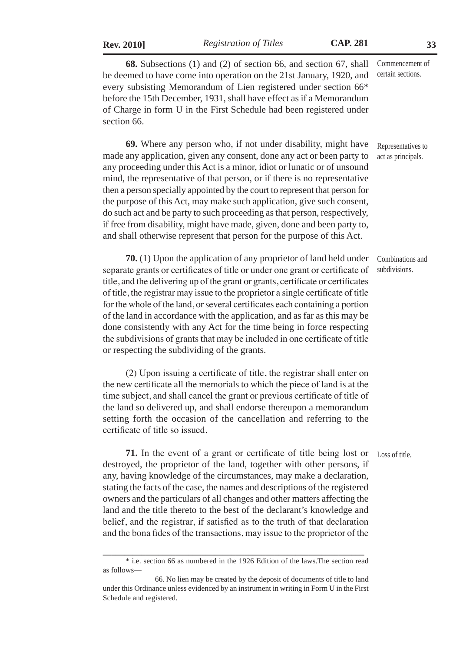| <b>Rev. 2010</b> |  |
|------------------|--|

**Rev. 2010]** *Registration of Titles* **CAP. 281 33**

**68.** Subsections (1) and (2) of section 66, and section 67, shall be deemed to have come into operation on the 21st January, 1920, and every subsisting Memorandum of Lien registered under section 66\* before the 15th December, 1931, shall have effect as if a Memorandum of Charge in form U in the First Schedule had been registered under section 66. Commencement of certain sections.

**69.** Where any person who, if not under disability, might have made any application, given any consent, done any act or been party to any proceeding under this Act is a minor, idiot or lunatic or of unsound mind, the representative of that person, or if there is no representative then a person specially appointed by the court to represent that person for the purpose of this Act, may make such application, give such consent, do such act and be party to such proceeding as that person, respectively, if free from disability, might have made, given, done and been party to, and shall otherwise represent that person for the purpose of this Act. Representatives to act as principals.

**70.** (1) Upon the application of any proprietor of land held under separate grants or certificates of title or under one grant or certificate of title, and the delivering up of the grant or grants, certificate or certificates of title, the registrar may issue to the proprietor a single certificate of title for the whole of the land, or several certificates each containing a portion of the land in accordance with the application, and as far as this may be done consistently with any Act for the time being in force respecting the subdivisions of grants that may be included in one certificate of title or respecting the subdividing of the grants. Combinations and subdivisions.

(2) Upon issuing a certificate of title, the registrar shall enter on the new certificate all the memorials to which the piece of land is at the time subject, and shall cancel the grant or previous certificate of title of the land so delivered up, and shall endorse thereupon a memorandum setting forth the occasion of the cancellation and referring to the certificate of title so issued.

Loss of title.

**71.** In the event of a grant or certificate of title being lost or destroyed, the proprietor of the land, together with other persons, if any, having knowledge of the circumstances, may make a declaration, stating the facts of the case, the names and descriptions of the registered owners and the particulars of all changes and other matters affecting the land and the title thereto to the best of the declarant's knowledge and belief, and the registrar, if satisfied as to the truth of that declaration and the bona fides of the transactions, may issue to the proprietor of the

**\_\_\_\_\_\_\_\_\_\_\_\_\_\_\_\_\_\_\_\_\_\_\_\_\_\_\_\_\_\_\_\_\_\_\_\_\_\_\_\_\_\_\_\_\_\_\_\_\_\_\_\_\_\_\_\_\_\_\_\_\_** \* i.e. section 66 as numbered in the 1926 Edition of the laws.The section read as follows—

 <sup>66.</sup> No lien may be created by the deposit of documents of title to land under this Ordinance unless evidenced by an instrument in writing in Form U in the First Schedule and registered.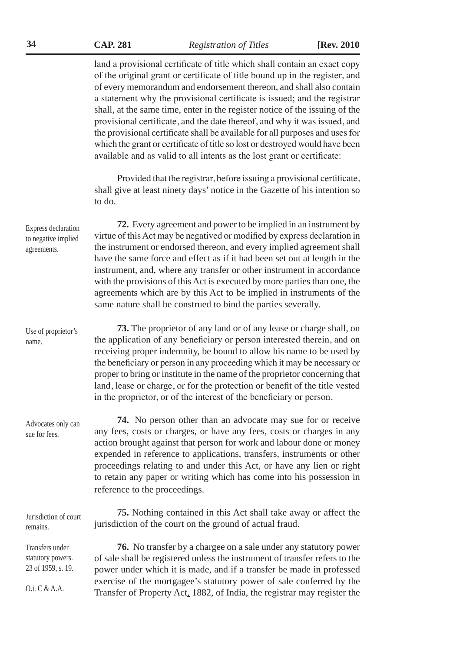**34 CAP. 281** *Registration of Titles* **[Rev. 2010**

land a provisional certificate of title which shall contain an exact copy of the original grant or certificate of title bound up in the register, and of every memorandum and endorsement thereon, and shall also contain a statement why the provisional certificate is issued; and the registrar shall, at the same time, enter in the register notice of the issuing of the provisional certificate, and the date thereof, and why it was issued, and the provisional certificate shall be available for all purposes and uses for which the grant or certificate of title so lost or destroyed would have been available and as valid to all intents as the lost grant or certificate:

Provided that the registrar, before issuing a provisional certificate, shall give at least ninety days' notice in the Gazette of his intention so to do.

**72.** Every agreement and power to be implied in an instrument by virtue of this Act may be negatived or modified by express declaration in the instrument or endorsed thereon, and every implied agreement shall have the same force and effect as if it had been set out at length in the instrument, and, where any transfer or other instrument in accordance with the provisions of this Act is executed by more parties than one, the agreements which are by this Act to be implied in instruments of the same nature shall be construed to bind the parties severally. Express declaration to negative implied

> **73.** The proprietor of any land or of any lease or charge shall, on the application of any beneficiary or person interested therein, and on receiving proper indemnity, be bound to allow his name to be used by the beneficiary or person in any proceeding which it may be necessary or proper to bring or institute in the name of the proprietor concerning that land, lease or charge, or for the protection or benefit of the title vested in the proprietor, or of the interest of the beneficiary or person.

**74.** No person other than an advocate may sue for or receive any fees, costs or charges, or have any fees, costs or charges in any action brought against that person for work and labour done or money expended in reference to applications, transfers, instruments or other proceedings relating to and under this Act, or have any lien or right to retain any paper or writing which has come into his possession in reference to the proceedings.

| Jurisdiction of court | 75. Nothing contained in this Act shall take away or affect the |
|-----------------------|-----------------------------------------------------------------|
| remains.              | jurisdiction of the court on the ground of actual fraud.        |

**76.** No transfer by a chargee on a sale under any statutory power of sale shall be registered unless the instrument of transfer refers to the power under which it is made, and if a transfer be made in professed exercise of the mortgagee's statutory power of sale conferred by the Transfer of Property Act, 1882, of India, the registrar may register the

agreements.

Use of proprietor's

Advocates only can sue for fees.

Transfers under statutory powers. 23 of 1959, s. 19.

O.i. C & A.A.

name.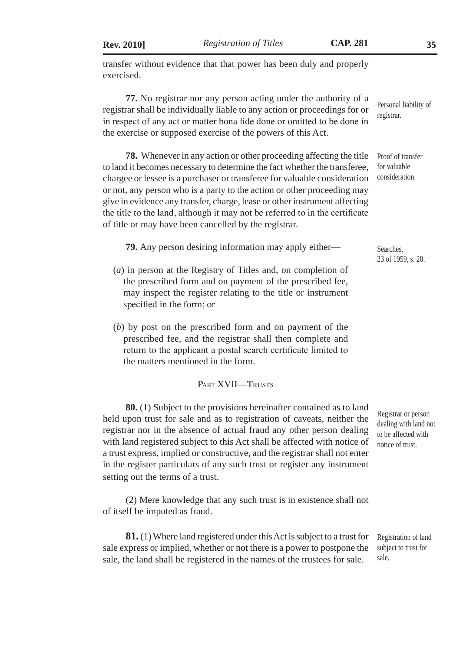transfer without evidence that that power has been duly and properly exercised.

**77.** No registrar nor any person acting under the authority of a registrar shall be individually liable to any action or proceedings for or in respect of any act or matter bona fide done or omitted to be done in the exercise or supposed exercise of the powers of this Act. Personal liability of

**78.** Whenever in any action or other proceeding affecting the title to land it becomes necessary to determine the fact whether the transferee, chargee or lessee is a purchaser or transferee for valuable consideration or not, any person who is a party to the action or other proceeding may give in evidence any transfer, charge, lease or other instrument affecting the title to the land, although it may not be referred to in the certificate of title or may have been cancelled by the registrar.

**79.** Any person desiring information may apply either—

- (*a*) in person at the Registry of Titles and, on completion of the prescribed form and on payment of the prescribed fee, may inspect the register relating to the title or instrument specified in the form; or
- (*b*) by post on the prescribed form and on payment of the prescribed fee, and the registrar shall then complete and return to the applicant a postal search certificate limited to the matters mentioned in the form.

### PART XVII—TRUSTS

**80.** (1) Subject to the provisions hereinafter contained as to land held upon trust for sale and as to registration of caveats, neither the registrar nor in the absence of actual fraud any other person dealing with land registered subject to this Act shall be affected with notice of a trust express, implied or constructive, and the registrar shall not enter in the register particulars of any such trust or register any instrument setting out the terms of a trust.

(2) Mere knowledge that any such trust is in existence shall not of itself be imputed as fraud.

**81.** (1) Where land registered under this Act is subject to a trust for sale express or implied, whether or not there is a power to postpone the sale, the land shall be registered in the names of the trustees for sale. sale.

Registrar or person dealing with land not to be affected with notice of trust.

Proof of transfer for valuable consideration.

Searches. 23 of 1959, s. 20.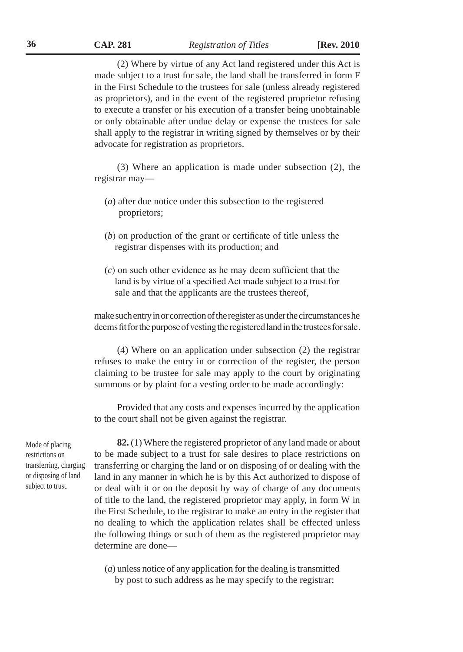**36 CAP. 281** *Registration of Titles* **[Rev. 2010**

(2) Where by virtue of any Act land registered under this Act is made subject to a trust for sale, the land shall be transferred in form F in the First Schedule to the trustees for sale (unless already registered as proprietors), and in the event of the registered proprietor refusing to execute a transfer or his execution of a transfer being unobtainable or only obtainable after undue delay or expense the trustees for sale shall apply to the registrar in writing signed by themselves or by their advocate for registration as proprietors.

(3) Where an application is made under subsection (2), the registrar may—

- (*a*) after due notice under this subsection to the registered proprietors;
- (*b*) on production of the grant or certificate of title unless the registrar dispenses with its production; and
- (*c*) on such other evidence as he may deem sufficient that the land is by virtue of a specified Act made subject to a trust for sale and that the applicants are the trustees thereof,

make such entry in or correction of the register as under the circumstances he deems fit for the purpose of vesting the registered land in the trustees for sale.

(4) Where on an application under subsection (2) the registrar refuses to make the entry in or correction of the register, the person claiming to be trustee for sale may apply to the court by originating summons or by plaint for a vesting order to be made accordingly:

Provided that any costs and expenses incurred by the application to the court shall not be given against the registrar.

Mode of placing restrictions on transferring, charging or disposing of land subject to trust.

**82.** (1) Where the registered proprietor of any land made or about to be made subject to a trust for sale desires to place restrictions on transferring or charging the land or on disposing of or dealing with the land in any manner in which he is by this Act authorized to dispose of or deal with it or on the deposit by way of charge of any documents of title to the land, the registered proprietor may apply, in form W in the First Schedule, to the registrar to make an entry in the register that no dealing to which the application relates shall be effected unless the following things or such of them as the registered proprietor may determine are done—

(*a*) unless notice of any application for the dealing is transmitted by post to such address as he may specify to the registrar;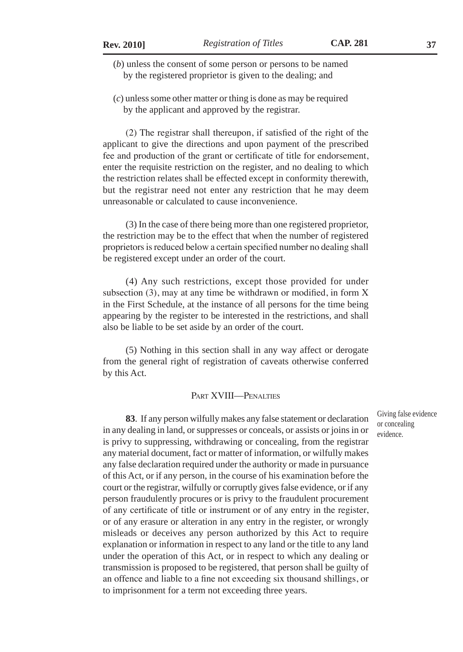(*b*) unless the consent of some person or persons to be named by the registered proprietor is given to the dealing; and

(*c*) unless some other matter or thing is done as may be required by the applicant and approved by the registrar.

(2) The registrar shall thereupon, if satisfied of the right of the applicant to give the directions and upon payment of the prescribed fee and production of the grant or certificate of title for endorsement, enter the requisite restriction on the register, and no dealing to which the restriction relates shall be effected except in conformity therewith, but the registrar need not enter any restriction that he may deem unreasonable or calculated to cause inconvenience.

(3) In the case of there being more than one registered proprietor, the restriction may be to the effect that when the number of registered proprietors is reduced below a certain specified number no dealing shall be registered except under an order of the court.

(4) Any such restrictions, except those provided for under subsection (3), may at any time be withdrawn or modified, in form X in the First Schedule, at the instance of all persons for the time being appearing by the register to be interested in the restrictions, and shall also be liable to be set aside by an order of the court.

(5) Nothing in this section shall in any way affect or derogate from the general right of registration of caveats otherwise conferred by this Act.

#### PART XVIII—PENALTIES

**83**. If any person wilfully makes any false statement or declaration in any dealing in land, or suppresses or conceals, or assists or joins in or is privy to suppressing, withdrawing or concealing, from the registrar any material document, fact or matter of information, or wilfully makes any false declaration required under the authority or made in pursuance of this Act, or if any person, in the course of his examination before the court or the registrar, wilfully or corruptly gives false evidence, or if any person fraudulently procures or is privy to the fraudulent procurement of any certificate of title or instrument or of any entry in the register, or of any erasure or alteration in any entry in the register, or wrongly misleads or deceives any person authorized by this Act to require explanation or information in respect to any land or the title to any land under the operation of this Act, or in respect to which any dealing or transmission is proposed to be registered, that person shall be guilty of an offence and liable to a fine not exceeding six thousand shillings, or to imprisonment for a term not exceeding three years.

Giving false evidence or concealing evidence.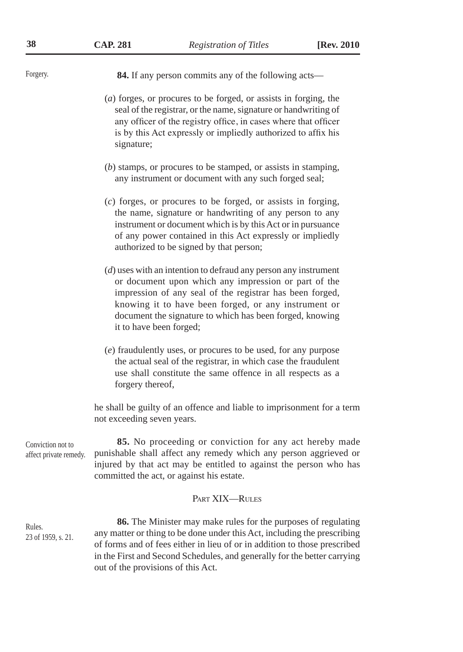| 38                                          | <b>CAP. 281</b>                    | <b>Registration of Titles</b>                                                                                                                                                                                                                                                                             | [Rev. 2010] |
|---------------------------------------------|------------------------------------|-----------------------------------------------------------------------------------------------------------------------------------------------------------------------------------------------------------------------------------------------------------------------------------------------------------|-------------|
| Forgery.                                    |                                    | 84. If any person commits any of the following acts-                                                                                                                                                                                                                                                      |             |
|                                             | signature;                         | $(a)$ forges, or procures to be forged, or assists in forging, the<br>seal of the registrar, or the name, signature or handwriting of<br>any officer of the registry office, in cases where that officer<br>is by this Act expressly or impliedly authorized to affix his                                 |             |
|                                             |                                    | $(b)$ stamps, or procures to be stamped, or assists in stamping,<br>any instrument or document with any such forged seal;                                                                                                                                                                                 |             |
|                                             |                                    | $(c)$ forges, or procures to be forged, or assists in forging,<br>the name, signature or handwriting of any person to any<br>instrument or document which is by this Act or in pursuance<br>of any power contained in this Act expressly or impliedly<br>authorized to be signed by that person;          |             |
|                                             | it to have been forged;            | $(d)$ uses with an intention to defraud any person any instrument<br>or document upon which any impression or part of the<br>impression of any seal of the registrar has been forged,<br>knowing it to have been forged, or any instrument or<br>document the signature to which has been forged, knowing |             |
|                                             | forgery thereof,                   | (e) fraudulently uses, or procures to be used, for any purpose<br>the actual seal of the registrar, in which case the fraudulent<br>use shall constitute the same offence in all respects as a                                                                                                            |             |
|                                             | not exceeding seven years.         | he shall be guilty of an offence and liable to imprisonment for a term                                                                                                                                                                                                                                    |             |
| Conviction not to<br>affect private remedy. |                                    | 85. No proceeding or conviction for any act hereby made<br>punishable shall affect any remedy which any person aggrieved or<br>injured by that act may be entitled to against the person who has<br>committed the act, or against his estate.                                                             |             |
|                                             |                                    | PART XIX-RULES                                                                                                                                                                                                                                                                                            |             |
| Rules.<br>23 of 1959, s. 21.                | out of the provisions of this Act. | 86. The Minister may make rules for the purposes of regulating<br>any matter or thing to be done under this Act, including the prescribing<br>of forms and of fees either in lieu of or in addition to those prescribed<br>in the First and Second Schedules, and generally for the better carrying       |             |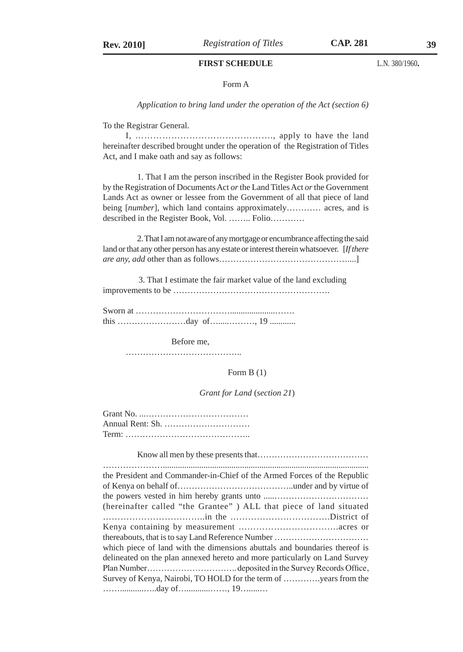#### **FIRST SCHEDULE**

#### Form A

*Application to bring land under the operation of the Act (section 6)*

To the Registrar General.

I, ………………………………………., apply to have the land hereinafter described brought under the operation of the Registration of Titles Act, and I make oath and say as follows:

1. That I am the person inscribed in the Register Book provided for by the Registration of Documents Act *or* the Land Titles Act *or* the Government Lands Act as owner or lessee from the Government of all that piece of land being [*number*], which land contains approximately………… acres, and is described in the Register Book, Vol. …….. Folio…………

2. That I am not aware of any mortgage or encumbrance affecting the said land or that any other person has any estate or interest therein whatsoever. [*If there are any, add* other than as follows………………………………………....]

 3. That I estimate the fair market value of the land excluding improvements to be ……………………………………………….

Sworn at ……………………………………………………………………………… this ……………………day of….....………, 19 ............

Before me,

…………………………………..

#### Form B (1)

#### *Grant for Land* (*section 21*)

| Annual Rent: Sh. |
|------------------|
|                  |

Know all men by these presents that…………………………………

…………………................................................................................................ the President and Commander-in-Chief of the Armed Forces of the Republic of Kenya on behalf of…………………………………..under and by virtue of the powers vested in him hereby grants unto .....…………………………… (hereinafter called "the Grantee" ) ALL that piece of land situated ……………………………..in the …………………………….District of Kenya containing by measurement …………………………….acres or thereabouts, that is to say Land Reference Number …………………………… which piece of land with the dimensions abuttals and boundaries thereof is delineated on the plan annexed hereto and more particularly on Land Survey Plan Number………………………….. deposited in the Survey Records Office, Survey of Kenya, Nairobi, TO HOLD for the term of ………….years from the ……...........…..day of…...........……, 19….....…

L.N. 380/1960**.**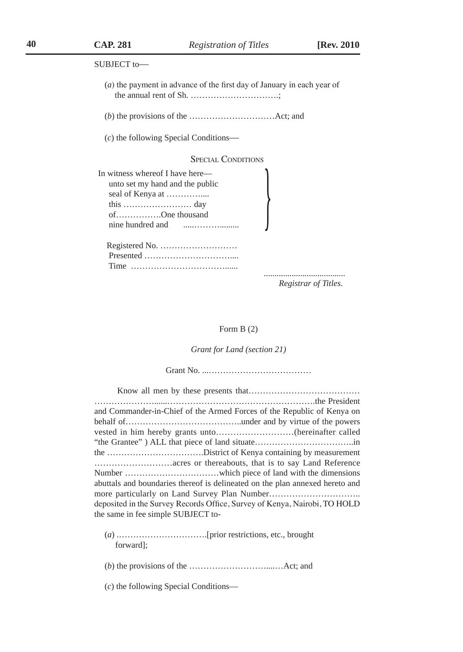| SUBJECT to-                                                                                            |
|--------------------------------------------------------------------------------------------------------|
| $(a)$ the payment in advance of the first day of January in each year of                               |
|                                                                                                        |
| $(c)$ the following Special Conditions—                                                                |
| <b>SPECIAL CONDITIONS</b>                                                                              |
| In witness whereof I have here—<br>unto set my hand and the public<br>ofOne thousand<br>Registered No. |
|                                                                                                        |
|                                                                                                        |
|                                                                                                        |

*Registrar of Titles.*

#### Form B (2)

*Grant for Land (section 21)*

Grant No. ...………………………………

| and Commander-in-Chief of the Armed Forces of the Republic of Kenya on       |
|------------------------------------------------------------------------------|
|                                                                              |
|                                                                              |
|                                                                              |
|                                                                              |
|                                                                              |
|                                                                              |
| abuttals and boundaries thereof is delineated on the plan annexed hereto and |
|                                                                              |
| deposited in the Survey Records Office, Survey of Kenya, Nairobi, TO HOLD    |
| the same in fee simple SUBJECT to-                                           |
|                                                                              |

- (*a*) .………………………….[prior restrictions, etc., brought forward];
- (*b*) the provisions of the ………………………....…Act; and
- (*c*) the following Special Conditions—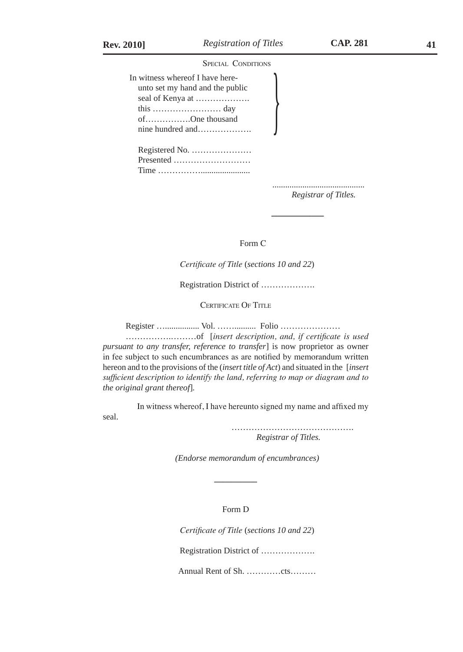seal.

SPECIAL CONDITIONS

| In witness whereof I have here-<br>unto set my hand and the public<br>ofOne thousand |  |
|--------------------------------------------------------------------------------------|--|
| Registered No.<br>Presented                                                          |  |
|                                                                                      |  |

*Registrar of Titles.*

**\_\_\_\_\_\_\_\_\_\_\_** 

Form C

*Certificate of Title* (*sections 10 and 22*)

Registration District of ……………….

CERTIFICATE OF TITLE

Register …................ Vol. …….......... Folio …………………

…………….………of [*insert description, and, if certificate is used pursuant to any transfer, reference to transfer*] is now proprietor as owner in fee subject to such encumbrances as are notified by memorandum written hereon and to the provisions of the (*insert title of Act*) and situated in the [*insert sufficient description to identify the land, referring to map or diagram and to the original grant thereof*]*.*

In witness whereof, I have hereunto signed my name and affixed my

 ……………………………………. *Registrar of Titles.* 

*(Endorse memorandum of encumbrances)*

Form D

 **\_\_\_\_\_\_\_\_\_\_**

*Certificate of Title* (*sections 10 and 22*)

Registration District of ……………….

Annual Rent of Sh. …………cts………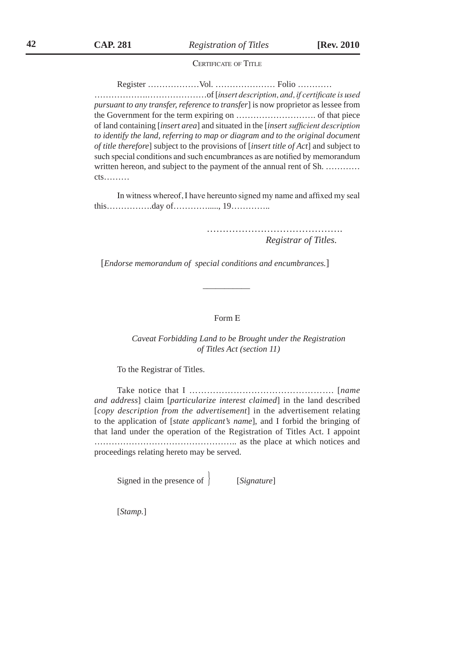CERTIFICATE OF TITLE

Register ………………Vol. ………………… Folio …………

……………….…………………of [*insert description, and, if certificate is used pursuant to any transfer, reference to transfer*] is now proprietor as lessee from the Government for the term expiring on ………………………. of that piece of land containing [*insert area*] and situated in the [*insert sufficient description*  to identify the land, referring to map or diagram and to the original document *of title therefore*] subject to the provisions of [*insert title of Act*] and subject to such special conditions and such encumbrances as are notified by memorandum written hereon, and subject to the payment of the annual rent of Sh. ........... cts………

In witness whereof, I have hereunto signed my name and affixed my seal this…………….day of…………....., 19…………..

> ……………………………………. *Registrar of Titles.*

[*Endorse memorandum of special conditions and encumbrances.*]

\_\_\_\_\_\_\_\_\_\_\_

#### Form E

*Caveat Forbidding Land to be Brought under the Registration of Titles Act (section 11)*

To the Registrar of Titles.

Take notice that I …………………………………………. [*name and address*] claim [*particularize interest claimed*] in the land described [*copy description from the advertisement*] in the advertisement relating to the application of [*state applicant's name*], and I forbid the bringing of that land under the operation of the Registration of Titles Act. I appoint ………………………………………….. as the place at which notices and proceedings relating hereto may be served.

Signed in the presence of } [*Signature*]

[*Stamp.*]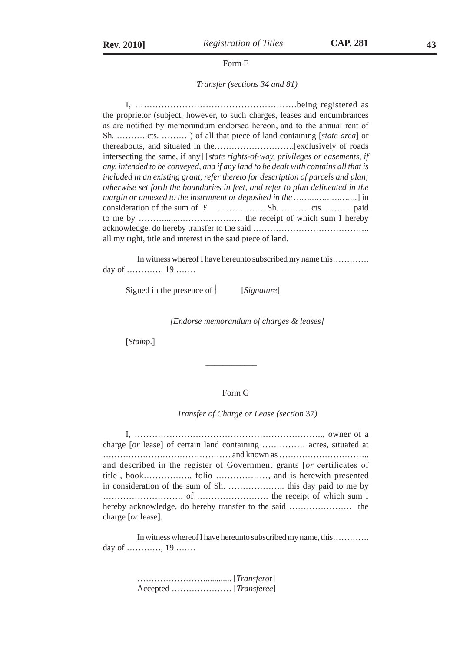#### Form F

#### *Transfer (sections 34 and 81)*

I, ……………………………………………….being registered as the proprietor (subject, however, to such charges, leases and encumbrances as are notified by memorandum endorsed hereon, and to the annual rent of Sh. ………. cts. ……… ) of all that piece of land containing [*state area*] or thereabouts, and situated in the……………………….[exclusively of roads intersecting the same, if any] [*state rights-of-way, privileges or easements, if any, intended to be conveyed, and if any land to be dealt with contains all that is included in an existing grant, refer thereto for description of parcels and plan; otherwise set forth the boundaries in feet, and refer to plan delineated in the margin or annexed to the instrument or deposited in the …………………….*] in consideration of the sum of £ …………….. Sh. ………. cts. ……… paid to me by ……….......…………………, the receipt of which sum I hereby acknowledge, do hereby transfer to the said ………………………………….. all my right, title and interest in the said piece of land.

In witness whereof I have hereunto subscribed my name this…………. day of …………, 19 …….

Signed in the presence of } [*Signature*]

 **\_\_\_\_\_\_\_\_\_\_\_\_** 

*[Endorse memorandum of charges & leases]*

[*Stamp*.]

### Form G

#### *Transfer of Charge or Lease (section* 37*)*

I, ……………………………………………………….., owner of a charge [*or* lease] of certain land containing …………… acres, situated at ……………………………………… and known as ………………………….. and described in the register of Government grants [*or* certificates of title], book……………., folio ………………, and is herewith presented in consideration of the sum of Sh. ……………….. this day paid to me by ………………………. of ……………………. the receipt of which sum I hereby acknowledge, do hereby transfer to the said …………………. the charge [*or* lease].

In witness whereof I have hereunto subscribed my name, this…………. day of …………, 19 …….

> ……………………............ [*Transfero*r] Accepted ………………… [*Transferee*]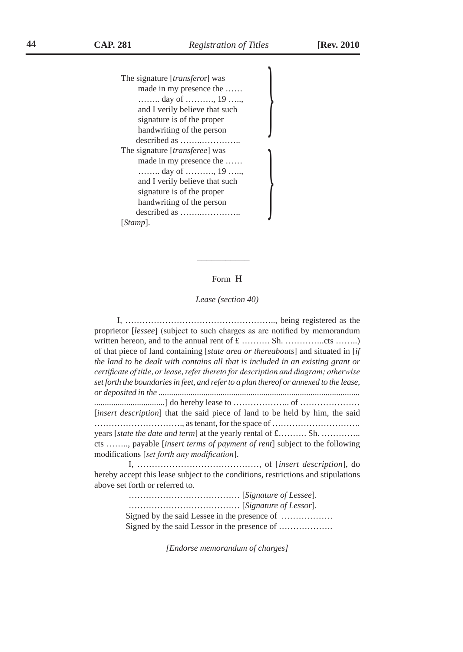$\frac{1}{2}$ 

The signature [*transfero*r] was made in my presence the …… …….. day of ………., 19 ….., and I verily believe that such signature is of the proper handwriting of the person described as ……..………….. The signature [*transferee*] was made in my presence the …… …….. day of ………., 19 ….., and I verily believe that such signature is of the proper handwriting of the person described as ……..………….. [*Stamp*]. } \_\_\_\_\_\_\_\_\_\_\_

#### Form H

#### *Lease (section 40)*

I, …………………………………………….., being registered as the proprietor [*lessee*] (subject to such charges as are notified by memorandum written hereon, and to the annual rent of £ …………. Sh. ……………...cts ……….) of that piece of land containing [*state area or thereabouts*] and situated in [*if the land to be dealt with contains all that is included in an existing grant or certificate of title, or lease, refer thereto for description and diagram; otherwise set forth the boundaries in feet, and refer to a plan thereof or annexed to the lease, or deposited in the .............................................................................................. .................................*] do hereby lease to ……………….. of ………………… [*insert description*] that the said piece of land to be held by him, the said …………………………., as tenant, for the space of …………………………. years [*state the date and term*] at the yearly rental of £………. Sh. ………….. cts …….., payable [*insert terms of payment of rent*] subject to the following modifications [*set forth any modification*].

I, ……………………………………, of [*insert description*], do hereby accept this lease subject to the conditions, restrictions and stipulations above set forth or referred to.

> ………………………………… [*Signature of Lessee*]. ………………………………… [*Signature of Lessor*]. Signed by the said Lessee in the presence of ……………… Signed by the said Lessor in the presence of ……………….

> > *[Endorse memorandum of charges]*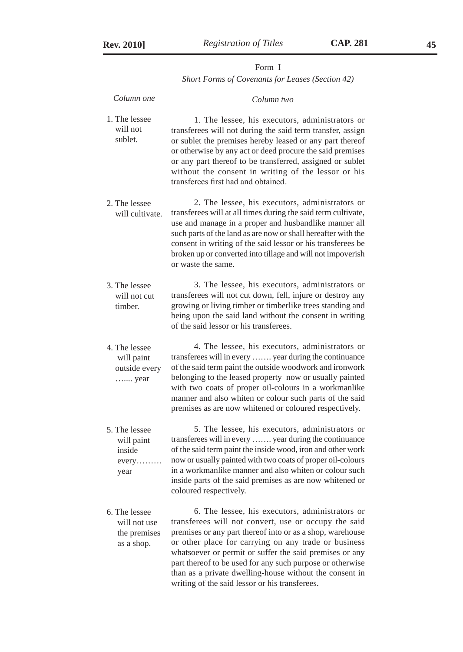### Form I *Short Forms of Covenants for Leases (Section 42)*

| Column one                                                  | Column two                                                                                                                                                                                                                                                                                                                                                                                                                                                        |
|-------------------------------------------------------------|-------------------------------------------------------------------------------------------------------------------------------------------------------------------------------------------------------------------------------------------------------------------------------------------------------------------------------------------------------------------------------------------------------------------------------------------------------------------|
| 1. The lessee<br>will not<br>sublet.                        | 1. The lessee, his executors, administrators or<br>transferees will not during the said term transfer, assign<br>or sublet the premises hereby leased or any part thereof<br>or otherwise by any act or deed procure the said premises<br>or any part thereof to be transferred, assigned or sublet<br>without the consent in writing of the lessor or his<br>transferees first had and obtained.                                                                 |
| 2. The lessee<br>will cultivate.                            | 2. The lessee, his executors, administrators or<br>transferees will at all times during the said term cultivate,<br>use and manage in a proper and husbandlike manner all<br>such parts of the land as are now or shall hereafter with the<br>consent in writing of the said lessor or his transferees be<br>broken up or converted into tillage and will not impoverish<br>or waste the same.                                                                    |
| 3. The lessee<br>will not cut<br>timber.                    | 3. The lessee, his executors, administrators or<br>transferees will not cut down, fell, injure or destroy any<br>growing or living timber or timberlike trees standing and<br>being upon the said land without the consent in writing<br>of the said lessor or his transferees.                                                                                                                                                                                   |
| 4. The lessee<br>will paint<br>outside every<br>year        | 4. The lessee, his executors, administrators or<br>transferees will in every  year during the continuance<br>of the said term paint the outside woodwork and ironwork<br>belonging to the leased property now or usually painted<br>with two coats of proper oil-colours in a workmanlike<br>manner and also whiten or colour such parts of the said<br>premises as are now whitened or coloured respectively.                                                    |
| 5. The lessee<br>will paint<br>inside<br>every<br>year      | 5. The lessee, his executors, administrators or<br>transferees will in every  year during the continuance<br>of the said term paint the inside wood, iron and other work<br>now or usually painted with two coats of proper oil-colours<br>in a workmanlike manner and also whiten or colour such<br>inside parts of the said premises as are now whitened or<br>coloured respectively.                                                                           |
| 6. The lessee<br>will not use<br>the premises<br>as a shop. | 6. The lessee, his executors, administrators or<br>transferees will not convert, use or occupy the said<br>premises or any part thereof into or as a shop, warehouse<br>or other place for carrying on any trade or business<br>whatsoever or permit or suffer the said premises or any<br>part thereof to be used for any such purpose or otherwise<br>than as a private dwelling-house without the consent in<br>writing of the said lessor or his transferees. |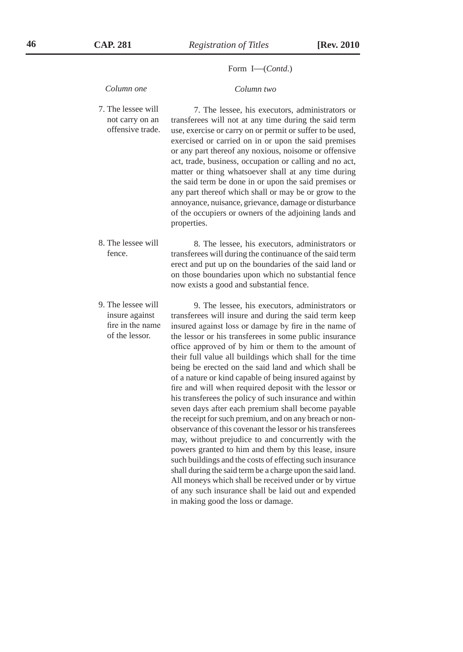#### Form I—(*Contd*.)

#### *Column one*

 *Column two*

- 7. The lessee will not carry on an offensive trade. 7. The lessee, his executors, administrators or transferees will not at any time during the said term use, exercise or carry on or permit or suffer to be used, exercised or carried on in or upon the said premises or any part thereof any noxious, noisome or offensive act, trade, business, occupation or calling and no act, matter or thing whatsoever shall at any time during the said term be done in or upon the said premises or any part thereof which shall or may be or grow to the annoyance, nuisance, grievance, damage or disturbance of the occupiers or owners of the adjoining lands and properties.
- 8. The lessee will fence. 8. The lessee, his executors, administrators or transferees will during the continuance of the said term erect and put up on the boundaries of the said land or on those boundaries upon which no substantial fence now exists a good and substantial fence.
- 9. The lessee will insure against fire in the name of the lessor. 9. The lessee, his executors, administrators or transferees will insure and during the said term keep insured against loss or damage by fire in the name of the lessor or his transferees in some public insurance office approved of by him or them to the amount of their full value all buildings which shall for the time being be erected on the said land and which shall be of a nature or kind capable of being insured against by fire and will when required deposit with the lessor or his transferees the policy of such insurance and within seven days after each premium shall become payable the receipt for such premium, and on any breach or nonobservance of this covenant the lessor or his transferees may, without prejudice to and concurrently with the powers granted to him and them by this lease, insure such buildings and the costs of effecting such insurance shall during the said term be a charge upon the said land. All moneys which shall be received under or by virtue of any such insurance shall be laid out and expended in making good the loss or damage.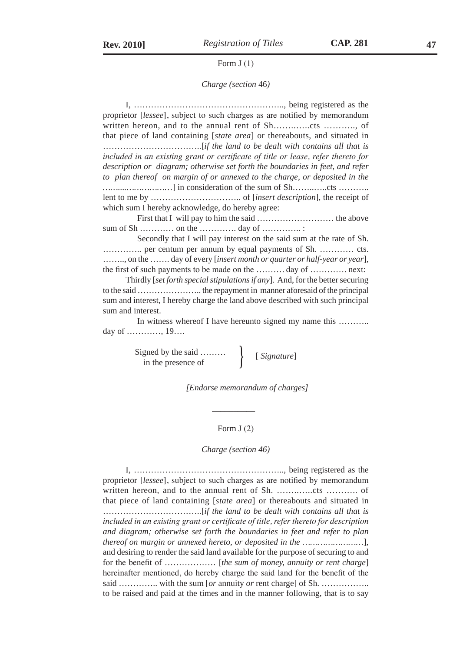#### Form J (1)

#### *Charge (section* 46*)*

I, …………………………………………….., being registered as the proprietor [*lessee*], subject to such charges as are notified by memorandum written hereon, and to the annual rent of Sh……..…..cts ……….., of that piece of land containing [*state area*] or thereabouts, and situated in ……………………………..[*if the land to be dealt with contains all that is included in an existing grant or certificate of title or lease, refer thereto for description or diagram; otherwise set forth the boundaries in feet, and refer to plan thereof on margin of or annexed to the charge, or deposited in the ……....………………*] in consideration of the sum of Sh……..…..cts ……….. lent to me by ………………………….. of [*insert description*], the receipt of which sum I hereby acknowledge, do hereby agree: First that I will pay to him the said ……………………… the above sum of Sh ………… on the …………. day of ………….. : Secondly that I will pay interest on the said sum at the rate of Sh.

………….. per centum per annum by equal payments of Sh. ………… cts. …….., on the ……. day of every [*insert month or quarter or half-year or year*], the first of such payments to be made on the ………. day of …………. next:

Thirdly [*set forth special stipulations if any*]. And, for the better securing to the said ………………….. the repayment in manner aforesaid of the principal sum and interest, I hereby charge the land above described with such principal sum and interest.

In witness whereof I have hereunto signed my name this .......... day of …………, 19….

Signed by the said ……… <br>in the presence of [*Signature*]

 **\_\_\_\_\_\_\_\_\_\_**

*[Endorse memorandum of charges]*

#### Form J (2)

*Charge (section 46)*

I, …………………………………………….., being registered as the proprietor [*lessee*], subject to such charges as are notified by memorandum written hereon, and to the annual rent of Sh. ……..…..cts ……….. of that piece of land containing [*state area*] or thereabouts and situated in ……………………………..[*if the land to be dealt with contains all that is included in an existing grant or certificate of title, refer thereto for description and diagram; otherwise set forth the boundaries in feet and refer to plan thereof on margin or annexed hereto, or deposited in the ……………………*], and desiring to render the said land available for the purpose of securing to and for the benefit of ……………… [*the sum of money, annuity or rent charge*] hereinafter mentioned, do hereby charge the said land for the benefit of the said ……………. with the sum [*or* annuity *or* rent charge] of Sh. ……………… to be raised and paid at the times and in the manner following, that is to say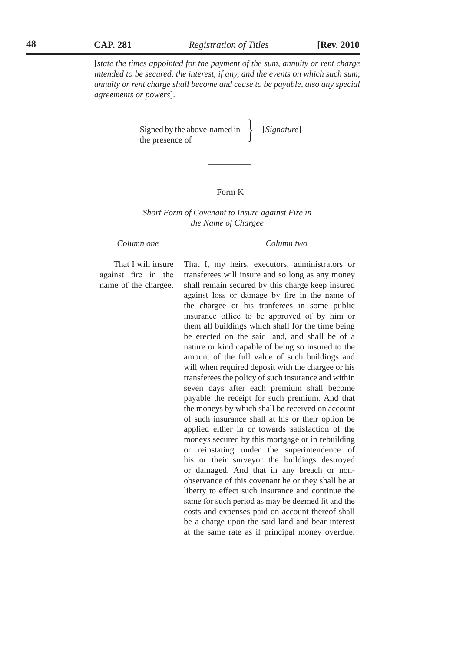[*state the times appointed for the payment of the sum, annuity or rent charge intended to be secured, the interest, if any, and the events on which such sum, annuity or rent charge shall become and cease to be payable, also any special agreements or powers*].

Signed by the above-named in [*Signature*]<br>the presence of

#### Form K

**\_\_\_\_\_\_\_\_\_\_**

#### *Short Form of Covenant to Insure against Fire in the Name of Chargee*

*Column one Column two*

### That I will insure against fire in the name of the chargee.

That I, my heirs, executors, administrators or transferees will insure and so long as any money shall remain secured by this charge keep insured against loss or damage by fire in the name of the chargee or his tranferees in some public insurance office to be approved of by him or them all buildings which shall for the time being be erected on the said land, and shall be of a nature or kind capable of being so insured to the amount of the full value of such buildings and will when required deposit with the chargee or his transferees the policy of such insurance and within seven days after each premium shall become payable the receipt for such premium. And that the moneys by which shall be received on account of such insurance shall at his or their option be applied either in or towards satisfaction of the moneys secured by this mortgage or in rebuilding or reinstating under the superintendence of his or their surveyor the buildings destroyed or damaged. And that in any breach or nonobservance of this covenant he or they shall be at liberty to effect such insurance and continue the same for such period as may be deemed fit and the costs and expenses paid on account thereof shall be a charge upon the said land and bear interest at the same rate as if principal money overdue.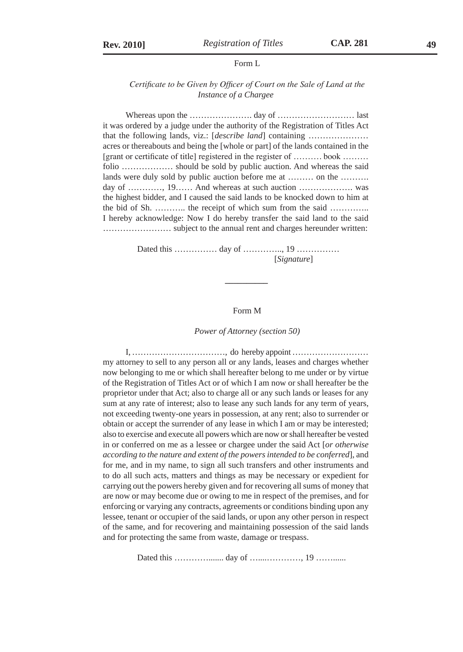#### Form L

#### *Certificate to be Given by Officer of Court on the Sale of Land at the Instance of a Chargee*

Whereas upon the …………………. day of ……………………… last it was ordered by a judge under the authority of the Registration of Titles Act that the following lands, viz.: [*describe land*] containing ………………… acres or thereabouts and being the [whole or part] of the lands contained in the [grant or certificate of title] registered in the register of ………. book ……… folio ……………… should be sold by public auction. And whereas the said lands were duly sold by public auction before me at ……… on the ………. day of …………, 19…… And whereas at such auction …………………… was the highest bidder, and I caused the said lands to be knocked down to him at the bid of Sh. ……….. the receipt of which sum from the said ………….. I hereby acknowledge: Now I do hereby transfer the said land to the said …………………… subject to the annual rent and charges hereunder written:

> Dated this ……………… day of ……………, 19 ……………… [*Signature*]

 **\_\_\_\_\_\_\_\_\_\_**

#### Form M

#### *Power of Attorney (section 50)*

I, ……………………………, do hereby appoint ……………………… my attorney to sell to any person all or any lands, leases and charges whether now belonging to me or which shall hereafter belong to me under or by virtue of the Registration of Titles Act or of which I am now or shall hereafter be the proprietor under that Act; also to charge all or any such lands or leases for any sum at any rate of interest; also to lease any such lands for any term of years, not exceeding twenty-one years in possession, at any rent; also to surrender or obtain or accept the surrender of any lease in which I am or may be interested; also to exercise and execute all powers which are now or shall hereafter be vested in or conferred on me as a lessee or chargee under the said Act [*or otherwise according to the nature and extent of the powers intended to be conferred*], and for me, and in my name, to sign all such transfers and other instruments and to do all such acts, matters and things as may be necessary or expedient for carrying out the powers hereby given and for recovering all sums of money that are now or may become due or owing to me in respect of the premises, and for enforcing or varying any contracts, agreements or conditions binding upon any lessee, tenant or occupier of the said lands, or upon any other person in respect of the same, and for recovering and maintaining possession of the said lands and for protecting the same from waste, damage or trespass.

Dated this …………....... day of …....…………, 19 ……......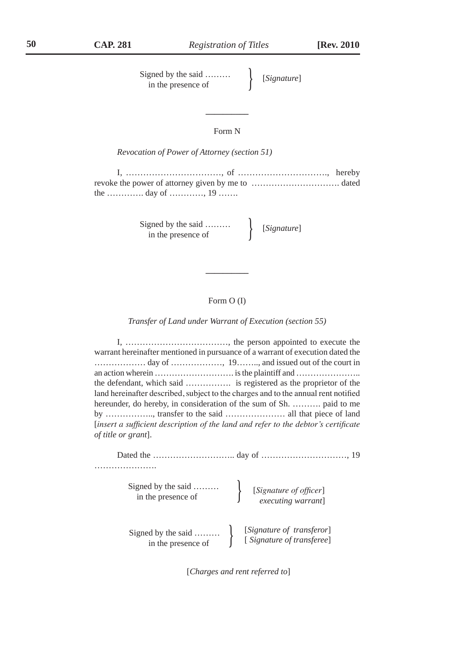Signed by the said ……… <br>in the presence of [*Signature*]

### Form N

**\_\_\_\_\_\_\_\_\_\_**

*Revocation of Power of Attorney (section 51)*

I, ……………………………, of …………………………., hereby revoke the power of attorney given by me to …………………………. dated the …………. day of …………, 19 …….

Signed by the said ……… <br>in the presence of  $\left\{ \begin{array}{c} [Signature] \\ \end{array} \right.$ 

### Form O (I)

**\_\_\_\_\_\_\_\_\_\_**

*Transfer of Land under Warrant of Execution (section 55)*

I, ………………………………, the person appointed to execute the warrant hereinafter mentioned in pursuance of a warrant of execution dated the ……………… day of ………………, 19…….., and issued out of the court in an action wherein ………………………. is the plaintiff and ………………….. the defendant, which said ……………. is registered as the proprietor of the land hereinafter described, subject to the charges and to the annual rent notified hereunder, do hereby, in consideration of the sum of Sh. ………. paid to me by …………….., transfer to the said ………………… all that piece of land [*insert a sufficient description of the land and refer to the debtor's certificate of title or grant*].

| Signed by the said<br>in the presence of | [Signature of officer]<br>executing warrant]           |
|------------------------------------------|--------------------------------------------------------|
| Signed by the said<br>in the presence of | [Signature of transferor]<br>[Signature of transferee] |

[*Charges and rent referred to*]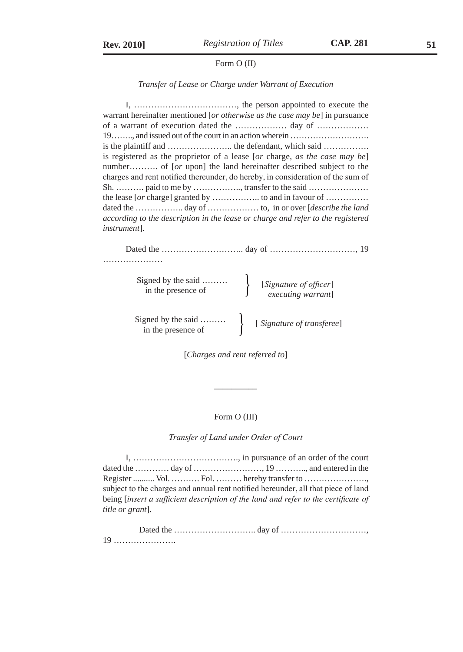#### Form O (II)

#### *Transfer of Lease or Charge under Warrant of Execution*

I, ………………………………, the person appointed to execute the warrant hereinafter mentioned [*or otherwise as the case may be*] in pursuance of a warrant of execution dated the ……………… day of ……………… 19…….., and issued out of the court in an action wherein ………………………. is the plaintiff and ………………….. the defendant, which said ……………. is registered as the proprietor of a lease [*or* charge, *as the case may be*] number.......... of [*or* upon] the land hereinafter described subject to the charges and rent notified thereunder, do hereby, in consideration of the sum of Sh. ……….. paid to me by ………………, transfer to the said ………………… the lease [*or* charge] granted by …………….. to and in favour of …………… dated the …………….. day of ……………… to, in or over [*describe the land according to the description in the lease or charge and refer to the registered instrument*].

Dated the ……………………….. day of …………………………, 19 …………………

Signed by the said ………<br>in the presence of **interpretational** [*Signature of officer*]

*executing warrant*]

Signed by the said ……… <br>in the presence of **in** [ *Signature of transferee*]

\_\_\_\_\_\_\_\_\_\_

[*Charges and rent referred to*]

#### Form O (III)

*Transfer of Land under Order of Court*

I, ………………………………., in pursuance of an order of the court dated the ………… day of ……………………, 19 ……….., and entered in the Register .......... Vol. ………. Fol. ……… hereby transfer to …………………., subject to the charges and annual rent notified hereunder, all that piece of land being [*insert a sufficient description of the land and refer to the certificate of title or grant*].

| 19 |  |
|----|--|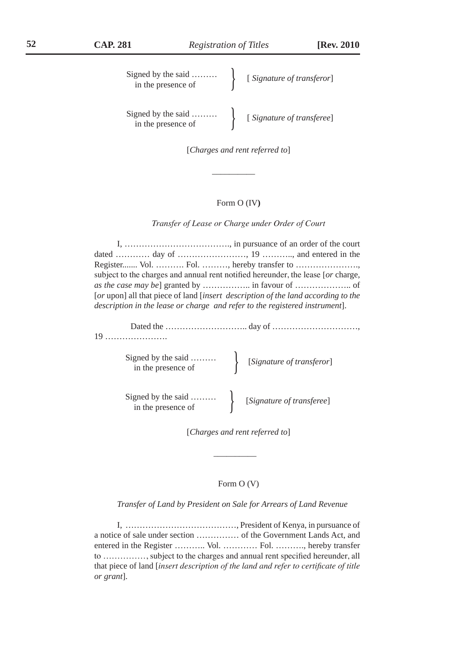| Signed by the said $\dots\dots\dots$<br>in the presence of | [Signature of transferor] |
|------------------------------------------------------------|---------------------------|
| Signed by the said<br>in the presence of                   | [Signature of transferee] |

[*Charges and rent referred to*]

 $\frac{1}{2}$  ,  $\frac{1}{2}$  ,  $\frac{1}{2}$  ,  $\frac{1}{2}$  ,  $\frac{1}{2}$  ,  $\frac{1}{2}$  ,  $\frac{1}{2}$  ,  $\frac{1}{2}$  ,  $\frac{1}{2}$  ,  $\frac{1}{2}$  ,  $\frac{1}{2}$  ,  $\frac{1}{2}$  ,  $\frac{1}{2}$  ,  $\frac{1}{2}$  ,  $\frac{1}{2}$  ,  $\frac{1}{2}$  ,  $\frac{1}{2}$  ,  $\frac{1}{2}$  ,  $\frac{1$ 

### Form O (IV**)**

*Transfer of Lease or Charge under Order of Court*

I, ………………………………., in pursuance of an order of the court dated ………… day of ……………………, 19 ……….., and entered in the Register....... Vol. ………. Fol. ………, hereby transfer to …………………., subject to the charges and annual rent notified hereunder, the lease [*or* charge, *as the case may be*] granted by …………….. in favour of ……………….. of [*or* upon] all that piece of land [*insert description of the land according to the description in the lease or charge and refer to the registered instrument*].

| Signed by the said<br>[Signature of transferor]<br>[Signature of transferor] |
|------------------------------------------------------------------------------|
| Signed by the said<br>[Signature of transferee]<br>Signature of transferee]  |

\_\_\_\_\_\_\_\_\_\_

[*Charges and rent referred to*]

#### Form O (V)

*Transfer of Land by President on Sale for Arrears of Land Revenue*

I, …………………………………, President of Kenya, in pursuance of a notice of sale under section …………… of the Government Lands Act, and entered in the Register ……….. Vol. ………… Fol. ………., hereby transfer to ……………, subject to the charges and annual rent specified hereunder, all that piece of land [*insert description of the land and refer to certificate of title or grant*].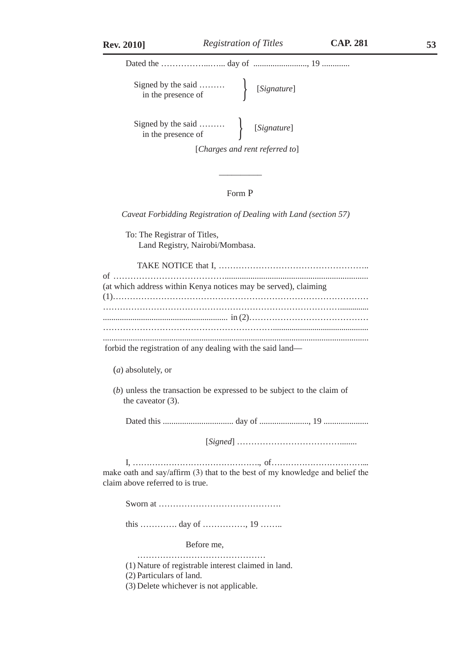Dated the ……………...…... day of ........................., 19 .............

| Signed by the said<br>in the presence of | [Signature] |
|------------------------------------------|-------------|
|------------------------------------------|-------------|

Signed by the said ……… <br>in the presence of [*Signature*]

[*Charges and rent referred to*]

### Form P

*Caveat Forbidding Registration of Dealing with Land (section 57)*

 $\frac{1}{2}$ 

To: The Registrar of Titles, Land Registry, Nairobi/Mombasa.

| (at which address within Kenya notices may be served), claiming |
|-----------------------------------------------------------------|
|                                                                 |
|                                                                 |
|                                                                 |
|                                                                 |
|                                                                 |
| forbid the registration of any dealing with the said land—      |

(*a*) absolutely, or

(*b*) unless the transaction be expressed to be subject to the claim of the caveator (3).

Dated this ................................. day of ......................., 19 .....................

[*Signed*] ………………………………........

I, ………………………………………., of ……………………………... make oath and say/affirm (3) that to the best of my knowledge and belief the claim above referred to is true.

Sworn at …………………………………….

this …………. day of ……………, 19 ……..

Before me,

…………………………………………… (1) Nature of registrable interest claimed in land.

(2) Particulars of land.

(3) Delete whichever is not applicable.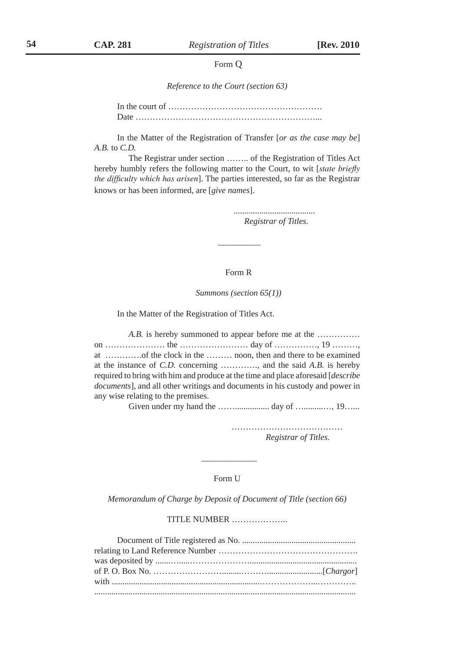#### Form Q

*Reference to the Court (section 63)*

In the court of ……………………………………………… Date ………………………………………………………...

In the Matter of the Registration of Transfer [*or as the case may be*] *A.B.* to *C.D.*

The Registrar under section …….. of the Registration of Titles Act hereby humbly refers the following matter to the Court, to wit [*state briefly the difficulty which has arisen*]. The parties interested, so far as the Registrar knows or has been informed, are [*give names*].

> ......................................  *Registrar of Titles.*

### Form R

*Summons (section 65(1))*

In the Matter of the Registration of Titles Act.

\_\_\_\_\_\_\_\_\_\_

*A.B.* is hereby summoned to appear before me at the …………… on ………………… the …………………… day of ……………, 19 ………, at ………….of the clock in the ……… noon, then and there to be examined at the instance of *C.D.* concerning …………., and the said *A.B.* is hereby required to bring with him and produce at the time and place aforesaid [*describe documents*], and all other writings and documents in his custody and power in any wise relating to the premises.

Given under my hand the ……................ day of ….........…, 19…...

……………………………………………  *Registrar of Titles.*

#### Form U

 $\frac{1}{2}$ 

*Memorandum of Charge by Deposit of Document of Title (section 66)*

TITLE NUMBER ………………..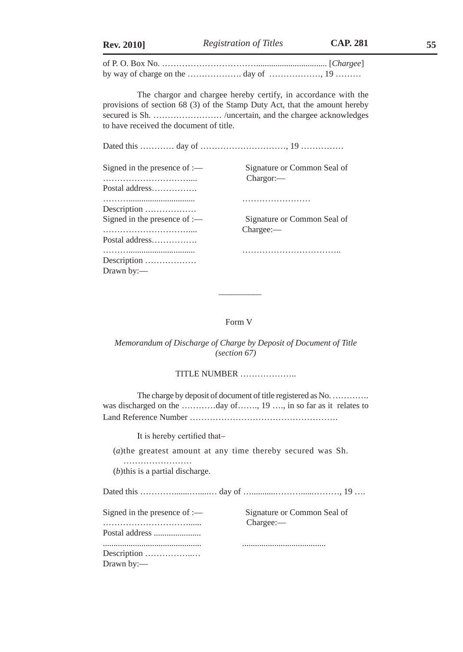| <b>CAP. 281</b><br>Registration of Titles<br><b>Rev. 2010]</b> | 55 |
|----------------------------------------------------------------|----|
|----------------------------------------------------------------|----|

of P. O. Box No. ……………………………................................. [*Chargee*] by way of charge on the  $\ldots$   $\ldots$   $\ldots$   $\ldots$  day of  $\ldots$   $\ldots$  19  $\ldots$   $\ldots$ 

The chargor and chargee hereby certify, in accordance with the provisions of section 68 (3) of the Stamp Duty Act, that the amount hereby secured is Sh. ............................ /uncertain, and the chargee acknowledges to have received the document of title.

Dated this ………… day of …………………………, 19 ……………

| Signed in the presence of :— |
|------------------------------|
|                              |
| Postal address               |
|                              |
| Description                  |
| Signed in the presence of :— |
|                              |
| Postal address               |
|                              |
| Description                  |
| Drawn by:-                   |

Signature or Common Seal of Chargor:-

………............................... ……………………

Signature or Common Seal of Chargee:-

………............................... ……………………………..

#### Form V

 $\frac{1}{2}$ 

*Memorandum of Discharge of Charge by Deposit of Document of Title (section 67)*

TITLE NUMBER ………………..

The charge by deposit of document of title registered as No. .............. was discharged on the .............day of......., 19 ...., in so far as it relates to Land Reference Number …………………………………………….

It is hereby certified that–

(*a*)the greatest amount at any time thereby secured was Sh.

…………………… (*b*)this is a partial discharge.

Dated this ………………………………… day of ………………………………………, 19 ……

| Signed in the presence of :— |
|------------------------------|
|                              |
| Postal address               |
|                              |
|                              |
| Description                  |
| Drawn by:-                   |

Signature or Common Seal of Chargee:-

.............................................. .......................................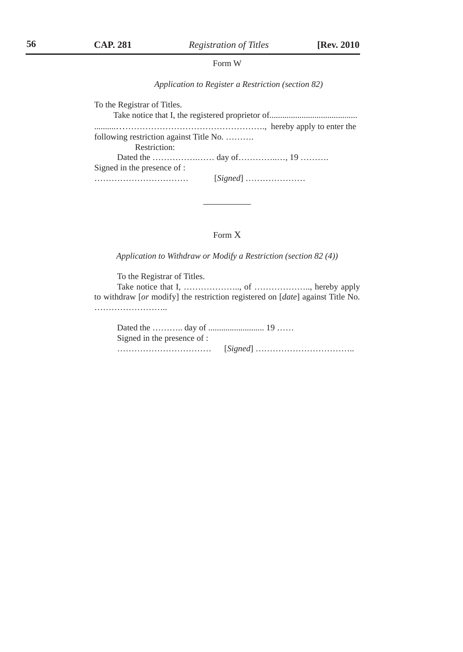#### Form W

*Application to Register a Restriction (section 82)*

To the Registrar of Titles. Take notice that I, the registered proprietor of......................................... ..........……………………………………………., hereby apply to enter the following restriction against Title No. ………. Restriction: Dated the …………….…… day of…………..…, 19 ………. Signed in the presence of : …………………………… [*Signed*] …………………

### Form X

 $\overline{\phantom{a}}$ 

*Application to Withdraw or Modify a Restriction (section 82 (4))*

To the Registrar of Titles. Take notice that I, ……………….., of ……………….., hereby apply to withdraw [*or* modify] the restriction registered on [*date*] against Title No. ……………………..

| Signed in the presence of : |  |
|-----------------------------|--|
|                             |  |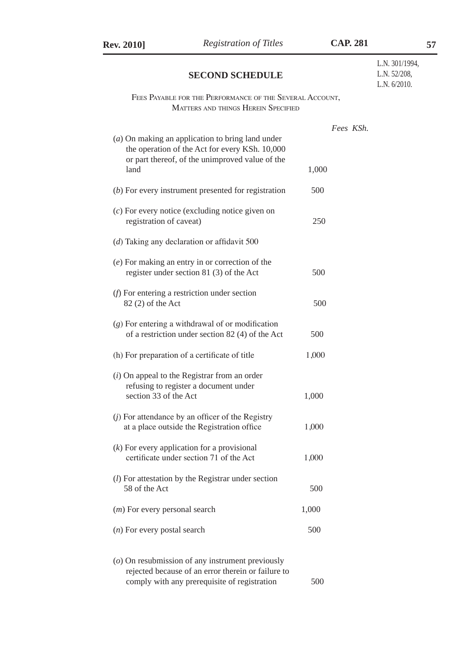| <b>Rev. 2010]</b>                                                   | <b>Registration of Titles</b>                                                                                                                            |       | <b>CAP. 281</b> |                                                   | 57 |
|---------------------------------------------------------------------|----------------------------------------------------------------------------------------------------------------------------------------------------------|-------|-----------------|---------------------------------------------------|----|
|                                                                     | <b>SECOND SCHEDULE</b>                                                                                                                                   |       |                 | L.N. 301/1994,<br>L.N. 52/208,<br>L.N. $6/2010$ . |    |
|                                                                     | FEES PAYABLE FOR THE PERFORMANCE OF THE SEVERAL ACCOUNT,<br><b>MATTERS AND THINGS HEREIN SPECIFIED</b>                                                   |       |                 |                                                   |    |
|                                                                     | $(a)$ On making an application to bring land under                                                                                                       |       | Fees KSh.       |                                                   |    |
| land                                                                | the operation of the Act for every KSh. 10,000<br>or part thereof, of the unimproved value of the                                                        | 1,000 |                 |                                                   |    |
|                                                                     | $(b)$ For every instrument presented for registration                                                                                                    | 500   |                 |                                                   |    |
| registration of caveat)                                             | $(c)$ For every notice (excluding notice given on                                                                                                        | 250   |                 |                                                   |    |
| (d) Taking any declaration or affidavit 500                         |                                                                                                                                                          |       |                 |                                                   |    |
|                                                                     | $(e)$ For making an entry in or correction of the<br>register under section 81 (3) of the Act                                                            | 500   |                 |                                                   |    |
| $(f)$ For entering a restriction under section<br>82 (2) of the Act |                                                                                                                                                          | 500   |                 |                                                   |    |
|                                                                     | $(g)$ For entering a withdrawal of or modification<br>of a restriction under section 82 (4) of the Act                                                   | 500   |                 |                                                   |    |
| (h) For preparation of a certificate of title                       |                                                                                                                                                          | 1,000 |                 |                                                   |    |
| section 33 of the Act                                               | $(i)$ On appeal to the Registrar from an order<br>refusing to register a document under                                                                  | 1,000 |                 |                                                   |    |
|                                                                     | $(j)$ For attendance by an officer of the Registry<br>at a place outside the Registration office                                                         | 1,000 |                 |                                                   |    |
| $(k)$ For every application for a provisional                       | certificate under section 71 of the Act                                                                                                                  | 1,000 |                 |                                                   |    |
| 58 of the Act                                                       | $(l)$ For attestation by the Registrar under section                                                                                                     | 500   |                 |                                                   |    |
| $(m)$ For every personal search                                     |                                                                                                                                                          | 1,000 |                 |                                                   |    |
| $(n)$ For every postal search                                       |                                                                                                                                                          | 500   |                 |                                                   |    |
|                                                                     | $(o)$ On resubmission of any instrument previously<br>rejected because of an error therein or failure to<br>comply with any prerequisite of registration | 500   |                 |                                                   |    |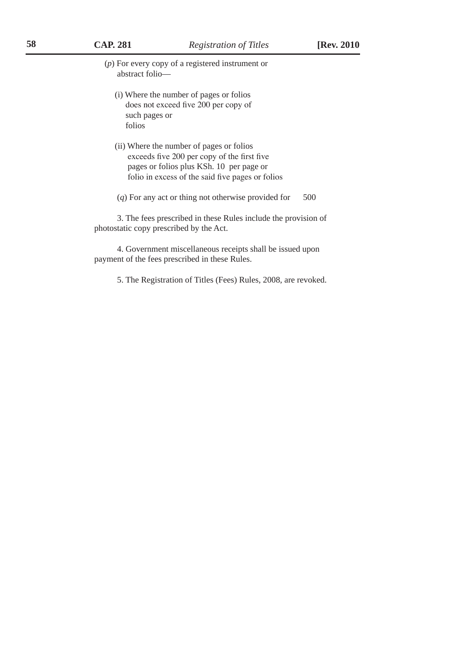(*p*) For every copy of a registered instrument or abstract folio—

- (i) Where the number of pages or folios does not exceed five 200 per copy of such pages or folios
- (ii) Where the number of pages or folios exceeds five 200 per copy of the first five pages or folios plus KSh. 10 per page or folio in excess of the said five pages or folios
- (*q*) For any act or thing not otherwise provided for 500

3. The fees prescribed in these Rules include the provision of photostatic copy prescribed by the Act.

4. Government miscellaneous receipts shall be issued upon payment of the fees prescribed in these Rules.

5. The Registration of Titles (Fees) Rules, 2008, are revoked.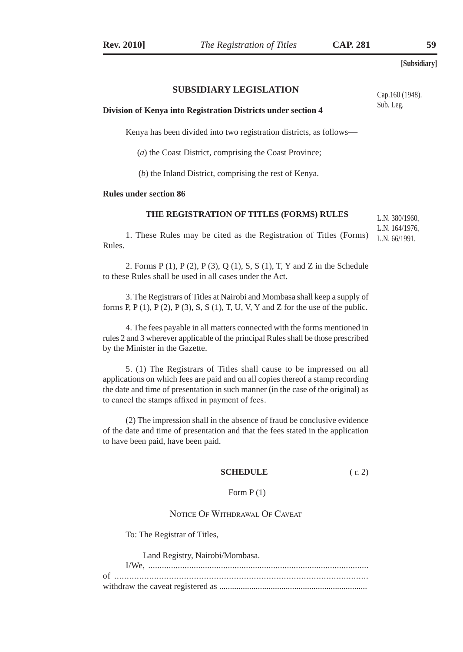#### **SUBSIDIARY LEGISLATION**

**Division of Kenya into Registration Districts under section 4**

Kenya has been divided into two registration districts, as follows—

(*a*) the Coast District, comprising the Coast Province;

(*b*) the Inland District, comprising the rest of Kenya.

#### **Rules under section 86**

#### **THE REGISTRATION OF TITLES (FORMS) RULES**

1. These Rules may be cited as the Registration of Titles (Forms) Rules.

2. Forms P (1), P (2), P (3), Q (1), S, S (1), T, Y and Z in the Schedule to these Rules shall be used in all cases under the Act.

3. The Registrars of Titles at Nairobi and Mombasa shall keep a supply of forms P, P $(1)$ , P $(2)$ , P $(3)$ , S, S $(1)$ , T, U, V, Y and Z for the use of the public.

4. The fees payable in all matters connected with the forms mentioned in rules 2 and 3 wherever applicable of the principal Rules shall be those prescribed by the Minister in the Gazette.

5. (1) The Registrars of Titles shall cause to be impressed on all applications on which fees are paid and on all copies thereof a stamp recording the date and time of presentation in such manner (in the case of the original) as to cancel the stamps affixed in payment of fees.

(2) The impression shall in the absence of fraud be conclusive evidence of the date and time of presentation and that the fees stated in the application to have been paid, have been paid.

#### **SCHEDULE** (r. 2)

#### Form  $P(1)$

### Notice Of Withdrawal Of Caveat

To: The Registrar of Titles,

Land Registry, Nairobi/Mombasa.

Cap.160 (1948). Sub. Leg.

L.N. 380/1960, L.N. 164/1976,

L.N. 66/1991.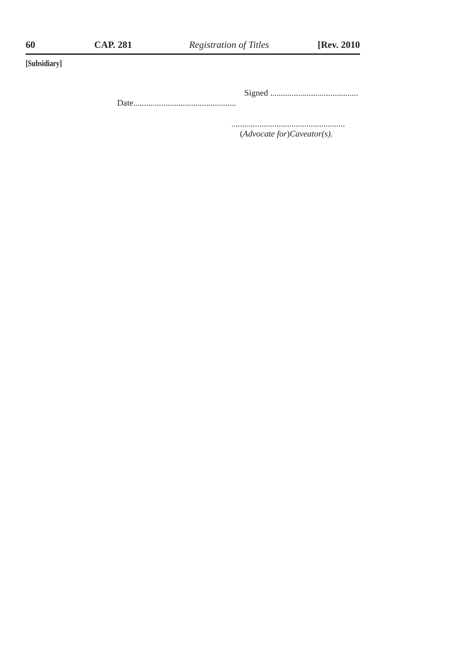Signed .........................................

Date................................................

 ..................................................... (*Advocate for*)*Caveator(s).*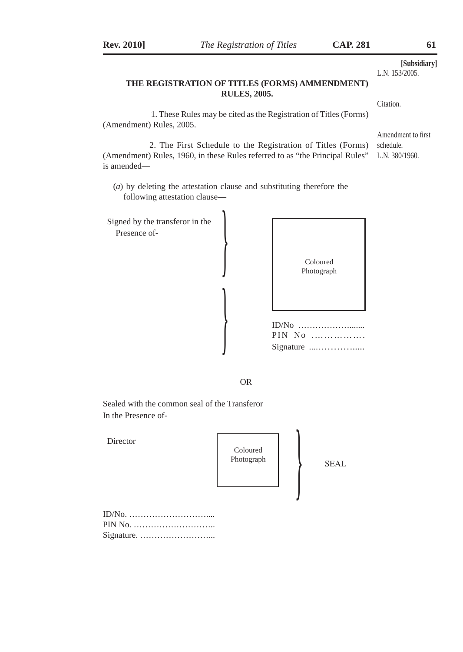|                                                                                                          | <b>RULES, 2005.</b>    | THE REGISTRATION OF TITLES (FORMS) AMMENDMENT)                    | [Subsidiary]<br>L.N. 153/2005.                    |
|----------------------------------------------------------------------------------------------------------|------------------------|-------------------------------------------------------------------|---------------------------------------------------|
|                                                                                                          |                        |                                                                   | Citation.                                         |
| (Amendment) Rules, 2005.                                                                                 |                        | 1. These Rules may be cited as the Registration of Titles (Forms) |                                                   |
| (Amendment) Rules, 1960, in these Rules referred to as "the Principal Rules"<br>is amended-              |                        | 2. The First Schedule to the Registration of Titles (Forms)       | Amendment to first<br>schedule.<br>L.N. 380/1960. |
| $(a)$ by deleting the attestation clause and substituting therefore the<br>following attestation clause- |                        |                                                                   |                                                   |
| Signed by the transferor in the<br>Presence of-                                                          |                        | Coloured<br>Photograph                                            |                                                   |
|                                                                                                          |                        | PIN No<br>Signature                                               |                                                   |
|                                                                                                          | <b>OR</b>              |                                                                   |                                                   |
| Sealed with the common seal of the Transferor<br>In the Presence of-                                     |                        |                                                                   |                                                   |
| Director                                                                                                 | Coloured<br>Photograph | <b>SEAL</b>                                                       |                                                   |
| $ID/N0, , , , , ,$<br>PIN No.                                                                            |                        |                                                                   |                                                   |

**Rev. 2010]** *The Registration of Titles* **CAP. 281 61**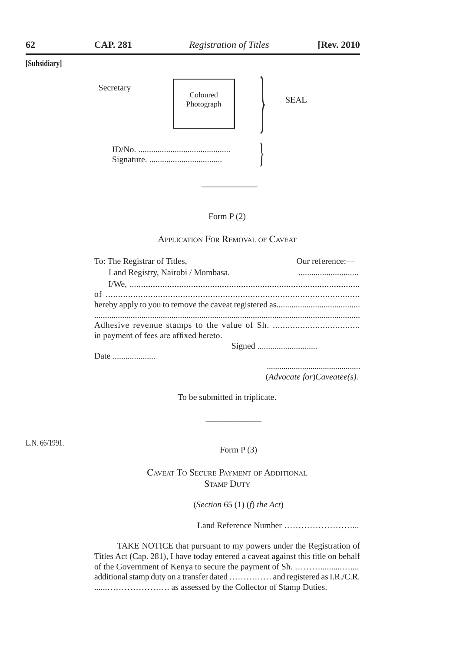| Secretary | Coloured<br>Photograph | <b>SEAL</b> |
|-----------|------------------------|-------------|
|           |                        |             |

#### Form P (2)

 $\overline{\phantom{a}}$ 

#### Application For Removal of Caveat

| To: The Registrar of Titles,           | Our reference:- |
|----------------------------------------|-----------------|
| Land Registry, Nairobi / Mombasa.      |                 |
|                                        |                 |
|                                        |                 |
|                                        |                 |
|                                        |                 |
|                                        |                 |
| in payment of fees are affixed hereto. |                 |
|                                        |                 |

Date ......................

 ............................................. (*Advocate for*)*Caveatee(s).* 

To be submitted in triplicate.

 $\mathcal{L}_\text{max}$  and  $\mathcal{L}_\text{max}$  and  $\mathcal{L}_\text{max}$  are the set of  $\mathcal{L}_\text{max}$ 

L.N. 66/1991.

Form  $P(3)$ 

Caveat To Secure Payment of Additional **STAMP DUTY** 

(*Section* 65 (1) (*f*) *the Act*)

Land Reference Number ……………………...

TAKE NOTICE that pursuant to my powers under the Registration of Titles Act (Cap. 281), I have today entered a caveat against this title on behalf of the Government of Kenya to secure the payment of Sh. ………..........….... additional stamp duty on a transfer dated …………… and registered as I.R./C.R. ......…………………. as assessed by the Collector of Stamp Duties.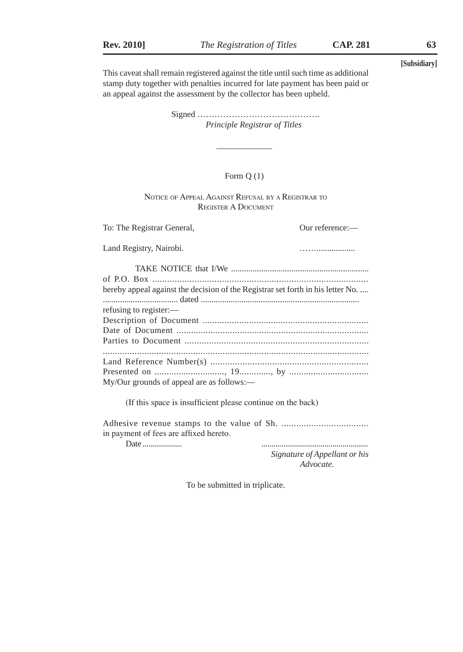This caveat shall remain registered against the title until such time as additional stamp duty together with penalties incurred for late payment has been paid or an appeal against the assessment by the collector has been upheld.

> Signed …………………………………….  *Principle Registrar of Titles*

### Form Q (1)

Notice of Appeal Against Refusal by <sup>a</sup> Registrar to Register A Document

Land Registry, Nairobi.

 $\mathcal{L}_\text{max}$  and  $\mathcal{L}_\text{max}$  and  $\mathcal{L}_\text{max}$  and  $\mathcal{L}_\text{max}$ 

To: The Registrar General,  $0$ ur reference:—

 TAKE NOTICE that I/We ................................................................ of P.O. Box ....................................................................................... hereby appeal against the decision of the Registrar set forth in his letter No. .... ................................... dated .......................................................................... refusing to register:— Description of Document .................................................................... Date of Document ............................................................................... Parties to Document ........................................................................... ............................................................................................................. Land Reference Number(s) ................................................................ Presented on ............................., 19............., by ................................. My/Our grounds of appeal are as follows:—

(If this space is insufficient please continue on the back)

Adhesive revenue stamps to the value of Sh. ................................... in payment of fees are affixed hereto.

Date .................... ......................................................

 *Signature of Appellant or his Advocate.*

To be submitted in triplicate.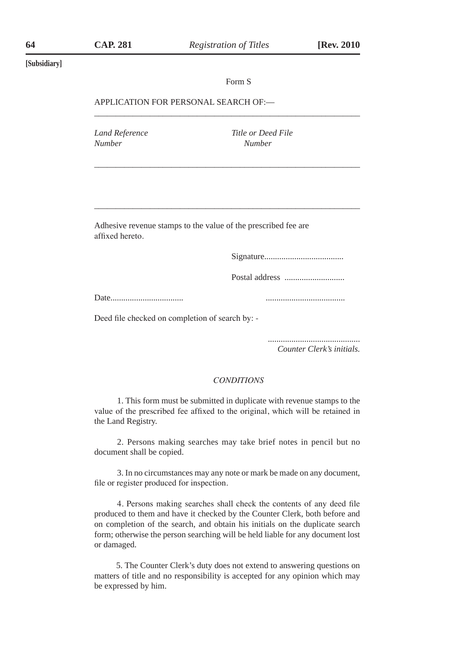\_\_\_\_\_\_\_\_\_\_\_\_\_\_\_\_\_\_\_\_\_\_\_\_\_\_\_\_\_\_\_\_\_\_\_\_\_\_\_\_\_\_\_\_\_\_\_\_\_\_\_\_\_\_\_\_\_\_\_\_\_\_

\_\_\_\_\_\_\_\_\_\_\_\_\_\_\_\_\_\_\_\_\_\_\_\_\_\_\_\_\_\_\_\_\_\_\_\_\_\_\_\_\_\_\_\_\_\_\_\_\_\_\_\_\_\_\_\_\_\_\_\_\_\_

\_\_\_\_\_\_\_\_\_\_\_\_\_\_\_\_\_\_\_\_\_\_\_\_\_\_\_\_\_\_\_\_\_\_\_\_\_\_\_\_\_\_\_\_\_\_\_\_\_\_\_\_\_\_\_\_\_\_\_\_\_\_

#### **[Subsidiary]**

#### Form S

#### APPLICATION FOR PERSONAL SEARCH OF:—

*Number Number*

*Land Reference Title or Deed File*

Adhesive revenue stamps to the value of the prescribed fee are affixed hereto.

Signature.....................................

Postal address ............................

Date.................................. .....................................

Deed file checked on completion of search by: -

 ........................................... *Counter Clerk's initials.*

### *CONDITIONS*

1. This form must be submitted in duplicate with revenue stamps to the value of the prescribed fee affixed to the original, which will be retained in the Land Registry.

2. Persons making searches may take brief notes in pencil but no document shall be copied.

3. In no circumstances may any note or mark be made on any document, file or register produced for inspection.

4. Persons making searches shall check the contents of any deed file produced to them and have it checked by the Counter Clerk, both before and on completion of the search, and obtain his initials on the duplicate search form; otherwise the person searching will be held liable for any document lost or damaged.

 5. The Counter Clerk's duty does not extend to answering questions on matters of title and no responsibility is accepted for any opinion which may be expressed by him.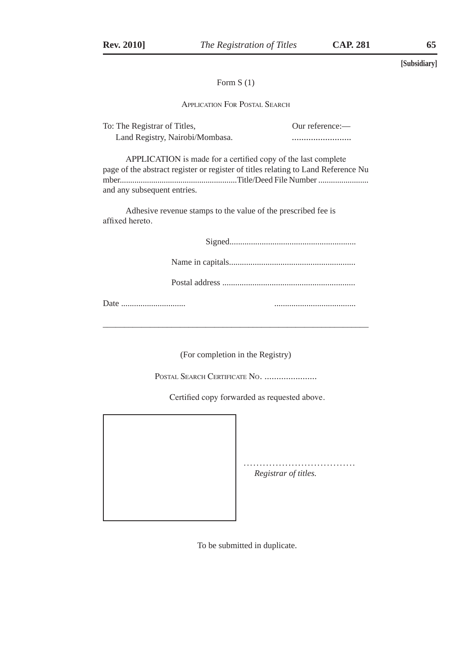### Form S (1)

Application For Postal Search

| To: The Registrar of Titles,    | Our reference:— |
|---------------------------------|-----------------|
| Land Registry, Nairobi/Mombasa. |                 |

| APPLICATION is made for a certified copy of the last complete                     |  |
|-----------------------------------------------------------------------------------|--|
| page of the abstract register or register of titles relating to Land Reference Nu |  |
|                                                                                   |  |
| and any subsequent entries.                                                       |  |

Adhesive revenue stamps to the value of the prescribed fee is affixed hereto.

Signed...........................................................

Name in capitals...........................................................

Postal address ..............................................................

Date .............................. ......................................

(For completion in the Registry)

\_\_\_\_\_\_\_\_\_\_\_\_\_\_\_\_\_\_\_\_\_\_\_\_\_\_\_\_\_\_\_\_\_\_\_\_\_\_\_\_\_\_\_\_\_\_\_\_\_\_\_\_\_\_\_\_\_\_\_\_\_\_

POSTAL SEARCH CERTIFICATE NO. ......................

Certified copy forwarded as requested above.



...................................  *Registrar of titles.* 

To be submitted in duplicate.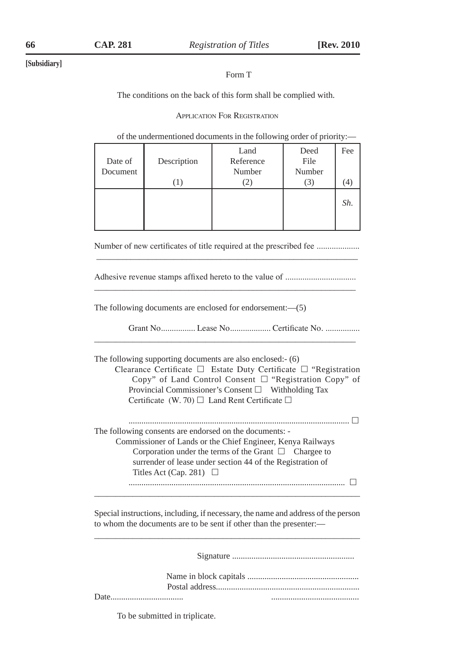### Form T

The conditions on the back of this form shall be complied with.

Application For Registration

#### of the undermentioned documents in the following order of priority:—

| Date of<br>Document | Description | Land<br>Reference<br>Number | Deed<br>File<br>Number | Fee |
|---------------------|-------------|-----------------------------|------------------------|-----|
|                     |             |                             | . 5                    |     |
|                     |             |                             |                        | Sh. |
|                     |             |                             |                        |     |

Number of new certificates of title required at the prescribed fee ...................  $\overline{\phantom{a}}$  , and the contract of the contract of the contract of the contract of the contract of the contract of the contract of the contract of the contract of the contract of the contract of the contract of the contrac

Adhesive revenue stamps affixed hereto to the value of ................................. \_\_\_\_\_\_\_\_\_\_\_\_\_\_\_\_\_\_\_\_\_\_\_\_\_\_\_\_\_\_\_\_\_\_\_\_\_\_\_\_\_\_\_\_\_\_\_\_\_\_\_\_\_\_\_\_\_\_\_\_\_

\_\_\_\_\_\_\_\_\_\_\_\_\_\_\_\_\_\_\_\_\_\_\_\_\_\_\_\_\_\_\_\_\_\_\_\_\_\_\_\_\_\_\_\_\_\_\_\_\_\_\_\_\_\_\_\_\_\_\_\_\_

The following documents are enclosed for endorsement:—(5)

Grant No................ Lease No................... Certificate No. ................

The following supporting documents are also enclosed:- (6)

Clearance Certificate  $\Box$  Estate Duty Certificate  $\Box$  "Registration Copy" of Land Control Consent □ "Registration Copy" of Provincial Commissioner's Consent  $\Box$  Withholding Tax Certificate (W. 70)  $\Box$  Land Rent Certificate  $\Box$ 

 ....................................................................................................... The following consents are endorsed on the documents: - Commissioner of Lands or the Chief Engineer, Kenya Railways Corporation under the terms of the Grant  $\Box$  Chargee to surrender of lease under section 44 of the Registration of Titles Act (Cap. 281)  $\Box$ .....................................................................................................

Special instructions, including, if necessary, the name and address of the person to whom the documents are to be sent if other than the presenter:— \_\_\_\_\_\_\_\_\_\_\_\_\_\_\_\_\_\_\_\_\_\_\_\_\_\_\_\_\_\_\_\_\_\_\_\_\_\_\_\_\_\_\_\_\_\_\_\_\_\_\_\_\_\_\_\_\_\_\_\_\_\_

\_\_\_\_\_\_\_\_\_\_\_\_\_\_\_\_\_\_\_\_\_\_\_\_\_\_\_\_\_\_\_\_\_\_\_\_\_\_\_\_\_\_\_\_\_\_\_\_\_\_\_\_\_\_\_\_\_\_\_\_\_\_

Signature .........................................................

To be submitted in triplicate.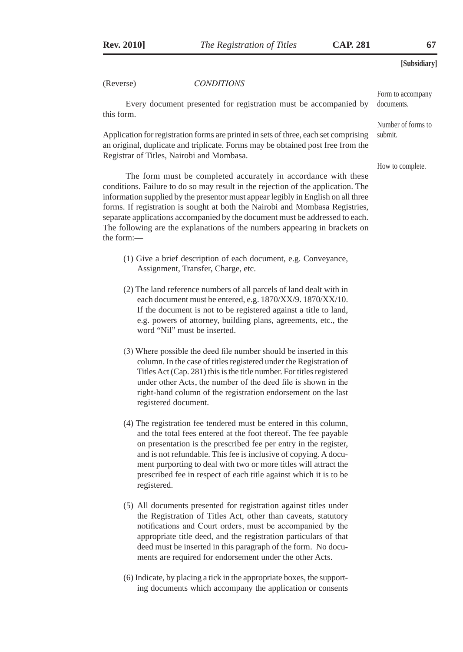(Reverse) *CONDITIONS*

Every document presented for registration must be accompanied by this form. documents.

Application for registration forms are printed in sets of three, each set comprising an original, duplicate and triplicate. Forms may be obtained post free from the Registrar of Titles, Nairobi and Mombasa.

How to complete.

Form to accompany

Number of forms to

submit.

The form must be completed accurately in accordance with these conditions. Failure to do so may result in the rejection of the application. The information supplied by the presentor must appear legibly in English on all three forms. If registration is sought at both the Nairobi and Mombasa Registries, separate applications accompanied by the document must be addressed to each. The following are the explanations of the numbers appearing in brackets on the form:—

- (1) Give a brief description of each document, e.g. Conveyance, Assignment, Transfer, Charge, etc.
- (2) The land reference numbers of all parcels of land dealt with in each document must be entered, e.g. 1870/XX/9. 1870/XX/10. If the document is not to be registered against a title to land, e.g. powers of attorney, building plans, agreements, etc., the word "Nil" must be inserted.
- (3) Where possible the deed file number should be inserted in this column. In the case of titles registered under the Registration of Titles Act (Cap. 281) this is the title number. For titles registered under other Acts, the number of the deed file is shown in the right-hand column of the registration endorsement on the last registered document.
- (4) The registration fee tendered must be entered in this column, and the total fees entered at the foot thereof. The fee payable on presentation is the prescribed fee per entry in the register, and is not refundable. This fee is inclusive of copying. A document purporting to deal with two or more titles will attract the prescribed fee in respect of each title against which it is to be registered.
- (5) All documents presented for registration against titles under the Registration of Titles Act, other than caveats, statutory notifications and Court orders, must be accompanied by the appropriate title deed, and the registration particulars of that deed must be inserted in this paragraph of the form. No documents are required for endorsement under the other Acts.
- (6) Indicate, by placing a tick in the appropriate boxes, the supporting documents which accompany the application or consents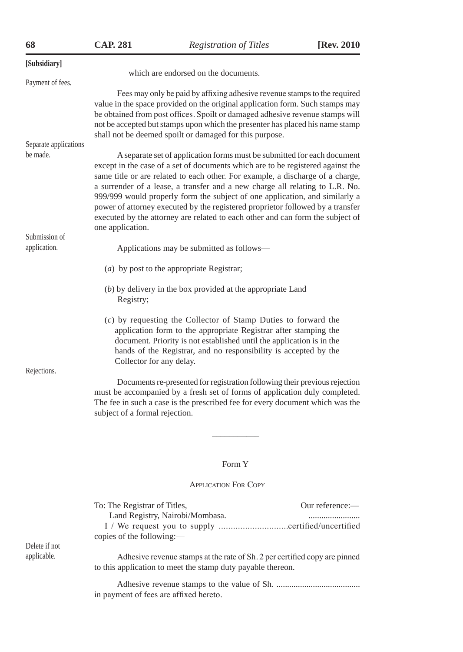| 68                            | <b>CAP. 281</b>                                                                                                                                                                                                                                                             | <b>Registration of Titles</b>                                                                                                                                                                                                                                                                                                                                                                                                                                                                        | [Rev. 2010 |  |  |  |
|-------------------------------|-----------------------------------------------------------------------------------------------------------------------------------------------------------------------------------------------------------------------------------------------------------------------------|------------------------------------------------------------------------------------------------------------------------------------------------------------------------------------------------------------------------------------------------------------------------------------------------------------------------------------------------------------------------------------------------------------------------------------------------------------------------------------------------------|------------|--|--|--|
| [Subsidiary]                  |                                                                                                                                                                                                                                                                             |                                                                                                                                                                                                                                                                                                                                                                                                                                                                                                      |            |  |  |  |
| Payment of fees.              |                                                                                                                                                                                                                                                                             | which are endorsed on the documents.                                                                                                                                                                                                                                                                                                                                                                                                                                                                 |            |  |  |  |
| Separate applications         |                                                                                                                                                                                                                                                                             | Fees may only be paid by affixing adhesive revenue stamps to the required<br>value in the space provided on the original application form. Such stamps may<br>be obtained from post offices. Spoilt or damaged adhesive revenue stamps will<br>not be accepted but stamps upon which the presenter has placed his name stamp<br>shall not be deemed spoilt or damaged for this purpose.                                                                                                              |            |  |  |  |
| be made.                      |                                                                                                                                                                                                                                                                             | A separate set of application forms must be submitted for each document                                                                                                                                                                                                                                                                                                                                                                                                                              |            |  |  |  |
|                               | one application.                                                                                                                                                                                                                                                            | except in the case of a set of documents which are to be registered against the<br>same title or are related to each other. For example, a discharge of a charge,<br>a surrender of a lease, a transfer and a new charge all relating to L.R. No.<br>999/999 would properly form the subject of one application, and similarly a<br>power of attorney executed by the registered proprietor followed by a transfer<br>executed by the attorney are related to each other and can form the subject of |            |  |  |  |
| Submission of<br>application. |                                                                                                                                                                                                                                                                             | Applications may be submitted as follows—                                                                                                                                                                                                                                                                                                                                                                                                                                                            |            |  |  |  |
|                               |                                                                                                                                                                                                                                                                             |                                                                                                                                                                                                                                                                                                                                                                                                                                                                                                      |            |  |  |  |
|                               |                                                                                                                                                                                                                                                                             | (a) by post to the appropriate Registrar;                                                                                                                                                                                                                                                                                                                                                                                                                                                            |            |  |  |  |
|                               | Registry;                                                                                                                                                                                                                                                                   | (b) by delivery in the box provided at the appropriate Land                                                                                                                                                                                                                                                                                                                                                                                                                                          |            |  |  |  |
| Rejections.                   | Collector for any delay.                                                                                                                                                                                                                                                    | (c) by requesting the Collector of Stamp Duties to forward the<br>application form to the appropriate Registrar after stamping the<br>document. Priority is not established until the application is in the<br>hands of the Registrar, and no responsibility is accepted by the                                                                                                                                                                                                                      |            |  |  |  |
|                               | Documents re-presented for registration following their previous rejection<br>must be accompanied by a fresh set of forms of application duly completed.<br>The fee in such a case is the prescribed fee for every document which was the<br>subject of a formal rejection. |                                                                                                                                                                                                                                                                                                                                                                                                                                                                                                      |            |  |  |  |
|                               |                                                                                                                                                                                                                                                                             |                                                                                                                                                                                                                                                                                                                                                                                                                                                                                                      |            |  |  |  |
|                               |                                                                                                                                                                                                                                                                             |                                                                                                                                                                                                                                                                                                                                                                                                                                                                                                      |            |  |  |  |

## Form Y

### Application For Copy

|               | To: The Registrar of Titles,                                               | Our reference: $-$ |
|---------------|----------------------------------------------------------------------------|--------------------|
|               | Land Registry, Nairobi/Mombasa.                                            |                    |
|               |                                                                            |                    |
|               | copies of the following:—                                                  |                    |
| Delete if not |                                                                            |                    |
| applicable.   | Adhesive revenue stamps at the rate of Sh. 2 per certified copy are pinned |                    |
|               | to this application to meet the stamp duty payable thereon.                |                    |
|               |                                                                            |                    |

Adhesive revenue stamps to the value of Sh. ....................................... in payment of fees are affixed hereto.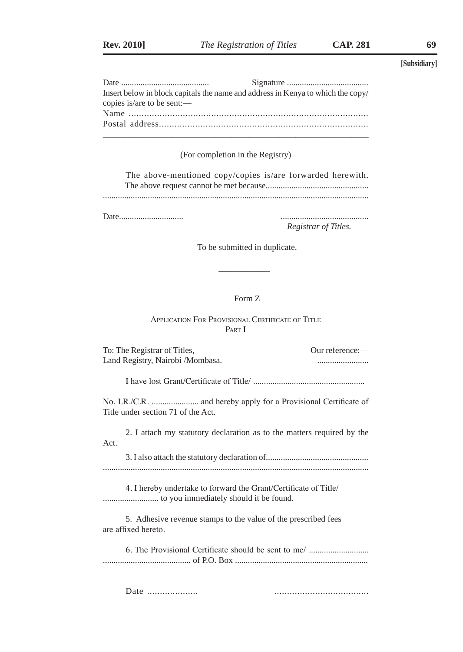| Insert below in block capitals the name and address in Kenya to which the copy/ |  |  |  |  |  |  |
|---------------------------------------------------------------------------------|--|--|--|--|--|--|
| copies is/are to be sent:—                                                      |  |  |  |  |  |  |
|                                                                                 |  |  |  |  |  |  |
|                                                                                 |  |  |  |  |  |  |
|                                                                                 |  |  |  |  |  |  |

### (For completion in the Registry)

|  |  |  | The above-mentioned copy/copies is/are forwarded herewith. |  |
|--|--|--|------------------------------------------------------------|--|
|  |  |  |                                                            |  |
|  |  |  |                                                            |  |

Date.............................. .........................................

*Registrar of Titles.*

To be submitted in duplicate.

### Form Z

Application For Provisional Certificate of Title PART I

 **\_\_\_\_\_\_\_\_\_\_\_\_**

| To: The Registrar of Titles,                                                          | Our reference:- |
|---------------------------------------------------------------------------------------|-----------------|
| Land Registry, Nairobi / Mombasa.                                                     |                 |
|                                                                                       |                 |
| Title under section 71 of the Act.                                                    |                 |
| 2. I attach my statutory declaration as to the matters required by the<br>Act.        |                 |
|                                                                                       |                 |
| 4. I hereby undertake to forward the Grant/Certificate of Title/                      |                 |
| 5. Adhesive revenue stamps to the value of the prescribed fees<br>are affixed hereto. |                 |
| 6. The Provisional Certificate should be sent to me/                                  |                 |
| Date                                                                                  |                 |